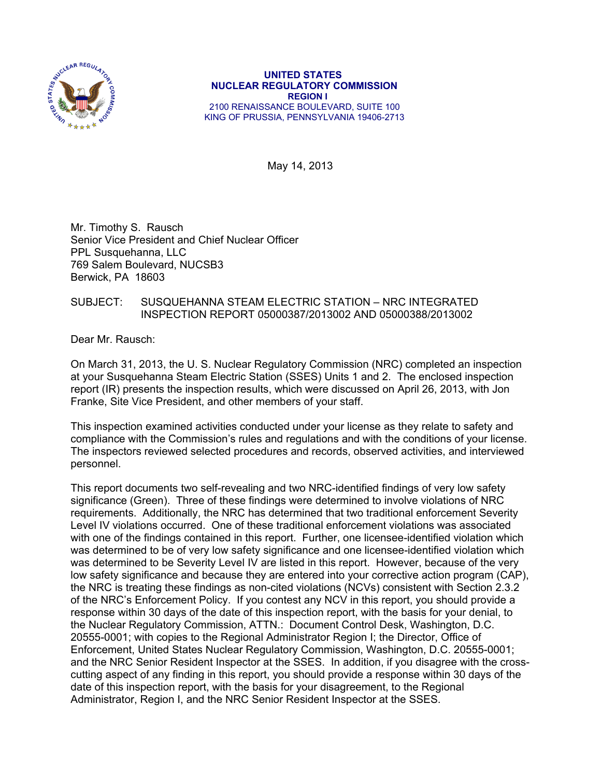

 **UNITED STATES NUCLEAR REGULATORY COMMISSION REGION I**  2100 RENAISSANCE BOULEVARD, SUITE 100 KING OF PRUSSIA, PENNSYLVANIA 19406-2713

May 14, 2013

Mr. Timothy S. Rausch Senior Vice President and Chief Nuclear Officer PPL Susquehanna, LLC 769 Salem Boulevard, NUCSB3 Berwick, PA 18603

# SUBJECT: SUSQUEHANNA STEAM ELECTRIC STATION – NRC INTEGRATED INSPECTION REPORT 05000387/2013002 AND 05000388/2013002

Dear Mr. Rausch:

On March 31, 2013, the U. S. Nuclear Regulatory Commission (NRC) completed an inspection at your Susquehanna Steam Electric Station (SSES) Units 1 and 2. The enclosed inspection report (IR) presents the inspection results, which were discussed on April 26, 2013, with Jon Franke, Site Vice President, and other members of your staff.

This inspection examined activities conducted under your license as they relate to safety and compliance with the Commission's rules and regulations and with the conditions of your license. The inspectors reviewed selected procedures and records, observed activities, and interviewed personnel.

This report documents two self-revealing and two NRC-identified findings of very low safety significance (Green). Three of these findings were determined to involve violations of NRC requirements. Additionally, the NRC has determined that two traditional enforcement Severity Level IV violations occurred. One of these traditional enforcement violations was associated with one of the findings contained in this report. Further, one licensee-identified violation which was determined to be of very low safety significance and one licensee-identified violation which was determined to be Severity Level IV are listed in this report. However, because of the very low safety significance and because they are entered into your corrective action program (CAP), the NRC is treating these findings as non-cited violations (NCVs) consistent with Section 2.3.2 of the NRC's Enforcement Policy. If you contest any NCV in this report, you should provide a response within 30 days of the date of this inspection report, with the basis for your denial, to the Nuclear Regulatory Commission, ATTN.: Document Control Desk, Washington, D.C. 20555-0001; with copies to the Regional Administrator Region I; the Director, Office of Enforcement, United States Nuclear Regulatory Commission, Washington, D.C. 20555-0001; and the NRC Senior Resident Inspector at the SSES. In addition, if you disagree with the crosscutting aspect of any finding in this report, you should provide a response within 30 days of the date of this inspection report, with the basis for your disagreement, to the Regional Administrator, Region I, and the NRC Senior Resident Inspector at the SSES.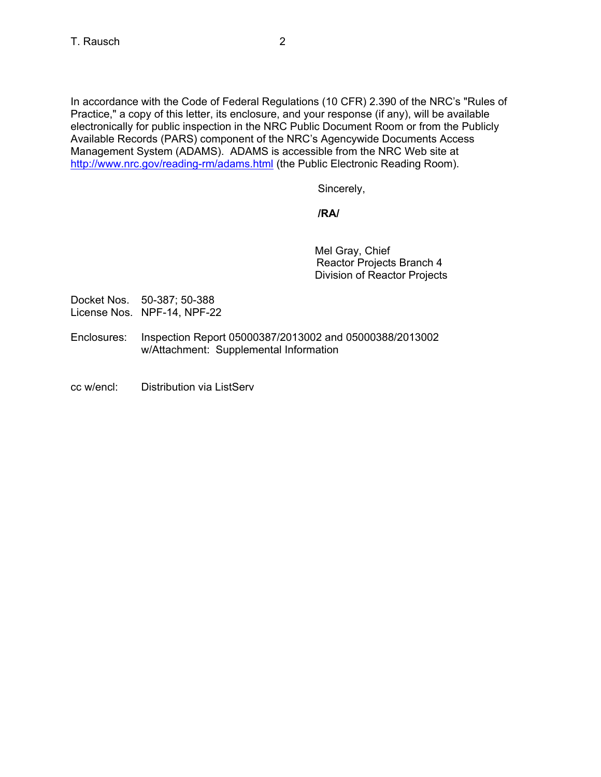In accordance with the Code of Federal Regulations (10 CFR) 2.390 of the NRC's "Rules of Practice," a copy of this letter, its enclosure, and your response (if any), will be available electronically for public inspection in the NRC Public Document Room or from the Publicly Available Records (PARS) component of the NRC's Agencywide Documents Access Management System (ADAMS). ADAMS is accessible from the NRC Web site at http://www.nrc.gov/reading-rm/adams.html (the Public Electronic Reading Room).

Sincerely,

# **/RA/**

Mel Gray, Chief Reactor Projects Branch 4 Division of Reactor Projects

Docket Nos. 50-387; 50-388 License Nos. NPF-14, NPF-22

- Enclosures: Inspection Report 05000387/2013002 and 05000388/2013002 w/Attachment: Supplemental Information
- cc w/encl: Distribution via ListServ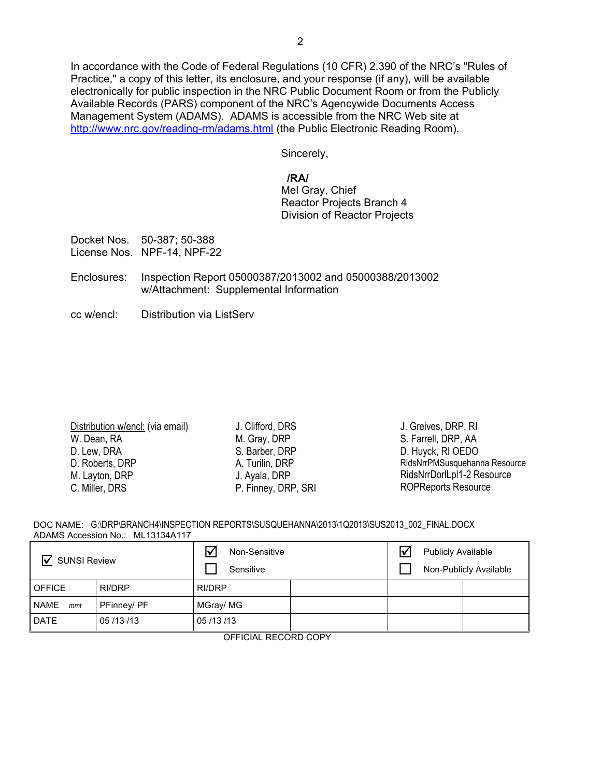In accordance with the Code of Federal Regulations (10 CFR) 2.390 of the NRC's "Rules of Practice," a copy of this letter, its enclosure, and your response (if any), will be available electronically for public inspection in the NRC Public Document Room or from the Publicly Available Records (PARS) component of the NRC's Agencywide Documents Access Management System (ADAMS). ADAMS is accessible from the NRC Web site at http://www.nrc.gov/reading-rm/adams.html (the Public Electronic Reading Room).

Sincerely,

# **/RA/**

Mel Gray, Chief Reactor Projects Branch 4 Division of Reactor Projects

Docket Nos. 50-387; 50-388 License Nos. NPF-14, NPF-22

- Enclosures: Inspection Report 05000387/2013002 and 05000388/2013002 w/Attachment: Supplemental Information
- cc w/encl: Distribution via ListServ

| Distribution w/encl: (via email) |
|----------------------------------|
| W. Dean, RA                      |
| D. Lew, DRA                      |
| D. Roberts, DRP                  |
| M. Layton, DRP                   |
| C. Miller, DRS                   |
|                                  |

J. Clifford, DRS M. Gray, DRP S. Barber, DRP A. Turilin, DRP J. Ayala, DRP P. Finney, DRP, SRI

J. Greives, DRP, RI S. Farrell, DRP, AA D. Huyck, RI OEDO RidsNrrPMSusquehanna Resource RidsNrrDorlLpl1-2 Resource ROPReports Resource

|                                  | DOC NAME: G:\DRP\BRANCH4\INSPECTION REPORTS\SUSQUEHANNA\2013\1Q2013\SUS2013 002 FINAL.DOCX |
|----------------------------------|--------------------------------------------------------------------------------------------|
| ADAMS Accession No.: ML13134A117 |                                                                                            |

| <b>SUNSI Review</b><br>Ⅳ |               | Non-Sensitive<br>Sensitive | ∇ | <b>Publicly Available</b> | Non-Publicly Available |
|--------------------------|---------------|----------------------------|---|---------------------------|------------------------|
| <b>OFFICE</b>            | <b>RI/DRP</b> | RI/DRP                     |   |                           |                        |
| <b>NAME</b><br>mmt       | PFinney/ PF   | MGray/MG                   |   |                           |                        |
| <b>DATE</b>              | 05/13/13      | 05/13/13                   |   |                           |                        |

OFFICIAL RECORD COPY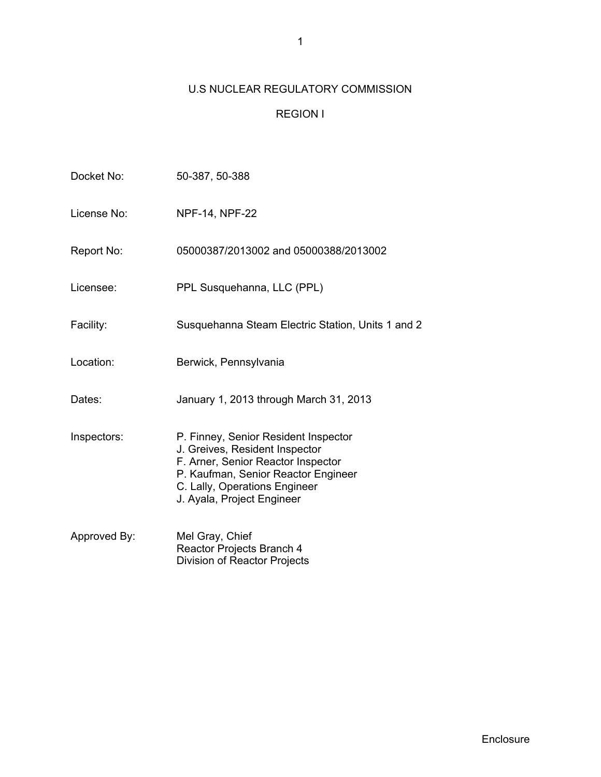# U.S NUCLEAR REGULATORY COMMISSION

# REGION I

| Docket No:   | 50-387, 50-388                                                                                                                                                                                                     |
|--------------|--------------------------------------------------------------------------------------------------------------------------------------------------------------------------------------------------------------------|
| License No:  | <b>NPF-14, NPF-22</b>                                                                                                                                                                                              |
| Report No:   | 05000387/2013002 and 05000388/2013002                                                                                                                                                                              |
| Licensee:    | PPL Susquehanna, LLC (PPL)                                                                                                                                                                                         |
| Facility:    | Susquehanna Steam Electric Station, Units 1 and 2                                                                                                                                                                  |
| Location:    | Berwick, Pennsylvania                                                                                                                                                                                              |
| Dates:       | January 1, 2013 through March 31, 2013                                                                                                                                                                             |
| Inspectors:  | P. Finney, Senior Resident Inspector<br>J. Greives, Resident Inspector<br>F. Arner, Senior Reactor Inspector<br>P. Kaufman, Senior Reactor Engineer<br>C. Lally, Operations Engineer<br>J. Ayala, Project Engineer |
| Approved By: | Mel Gray, Chief<br>Reactor Projects Branch 4<br>Division of Reactor Projects                                                                                                                                       |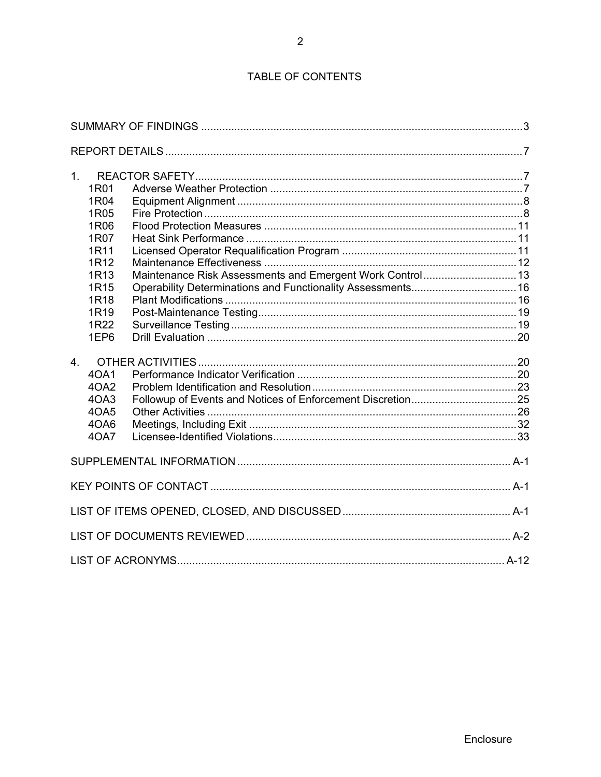# TABLE OF CONTENTS

| 1 <sub>1</sub><br>1R01<br>1R04<br>1R05<br>1R06<br>1R07<br>1R11<br>1R <sub>12</sub><br>1R <sub>13</sub><br>1R15<br>1R <sub>18</sub><br>1R <sub>19</sub><br>1R22 | Operability Determinations and Functionality Assessments 16 |  |
|----------------------------------------------------------------------------------------------------------------------------------------------------------------|-------------------------------------------------------------|--|
| 1EP6                                                                                                                                                           |                                                             |  |
| 4 <sub>1</sub><br>40A1<br>4OA2<br>4OA3<br>40A5<br>4OA6<br>40A7                                                                                                 |                                                             |  |
|                                                                                                                                                                |                                                             |  |
|                                                                                                                                                                |                                                             |  |
|                                                                                                                                                                |                                                             |  |
|                                                                                                                                                                |                                                             |  |
|                                                                                                                                                                |                                                             |  |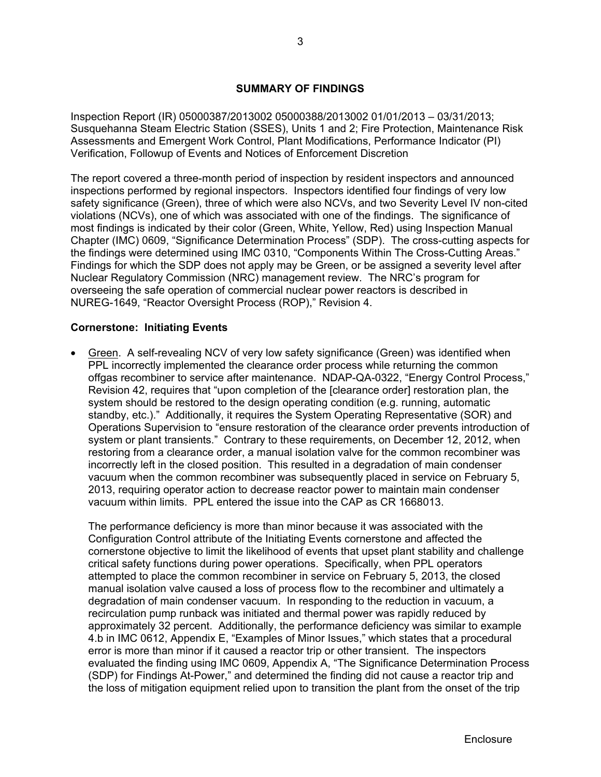# **SUMMARY OF FINDINGS**

Inspection Report (IR) 05000387/2013002 05000388/2013002 01/01/2013 – 03/31/2013; Susquehanna Steam Electric Station (SSES), Units 1 and 2; Fire Protection, Maintenance Risk Assessments and Emergent Work Control, Plant Modifications, Performance Indicator (PI) Verification, Followup of Events and Notices of Enforcement Discretion

The report covered a three-month period of inspection by resident inspectors and announced inspections performed by regional inspectors. Inspectors identified four findings of very low safety significance (Green), three of which were also NCVs, and two Severity Level IV non-cited violations (NCVs), one of which was associated with one of the findings. The significance of most findings is indicated by their color (Green, White, Yellow, Red) using Inspection Manual Chapter (IMC) 0609, "Significance Determination Process" (SDP). The cross-cutting aspects for the findings were determined using IMC 0310, "Components Within The Cross-Cutting Areas." Findings for which the SDP does not apply may be Green, or be assigned a severity level after Nuclear Regulatory Commission (NRC) management review. The NRC's program for overseeing the safe operation of commercial nuclear power reactors is described in NUREG-1649, "Reactor Oversight Process (ROP)," Revision 4.

# **Cornerstone: Initiating Events**

 Green. A self-revealing NCV of very low safety significance (Green) was identified when PPL incorrectly implemented the clearance order process while returning the common offgas recombiner to service after maintenance. NDAP-QA-0322, "Energy Control Process," Revision 42, requires that "upon completion of the [clearance order] restoration plan, the system should be restored to the design operating condition (e.g. running, automatic standby, etc.)." Additionally, it requires the System Operating Representative (SOR) and Operations Supervision to "ensure restoration of the clearance order prevents introduction of system or plant transients." Contrary to these requirements, on December 12, 2012, when restoring from a clearance order, a manual isolation valve for the common recombiner was incorrectly left in the closed position. This resulted in a degradation of main condenser vacuum when the common recombiner was subsequently placed in service on February 5, 2013, requiring operator action to decrease reactor power to maintain main condenser vacuum within limits. PPL entered the issue into the CAP as CR 1668013.

The performance deficiency is more than minor because it was associated with the Configuration Control attribute of the Initiating Events cornerstone and affected the cornerstone objective to limit the likelihood of events that upset plant stability and challenge critical safety functions during power operations. Specifically, when PPL operators attempted to place the common recombiner in service on February 5, 2013, the closed manual isolation valve caused a loss of process flow to the recombiner and ultimately a degradation of main condenser vacuum. In responding to the reduction in vacuum, a recirculation pump runback was initiated and thermal power was rapidly reduced by approximately 32 percent. Additionally, the performance deficiency was similar to example 4.b in IMC 0612, Appendix E, "Examples of Minor Issues," which states that a procedural error is more than minor if it caused a reactor trip or other transient. The inspectors evaluated the finding using IMC 0609, Appendix A, "The Significance Determination Process (SDP) for Findings At-Power," and determined the finding did not cause a reactor trip and the loss of mitigation equipment relied upon to transition the plant from the onset of the trip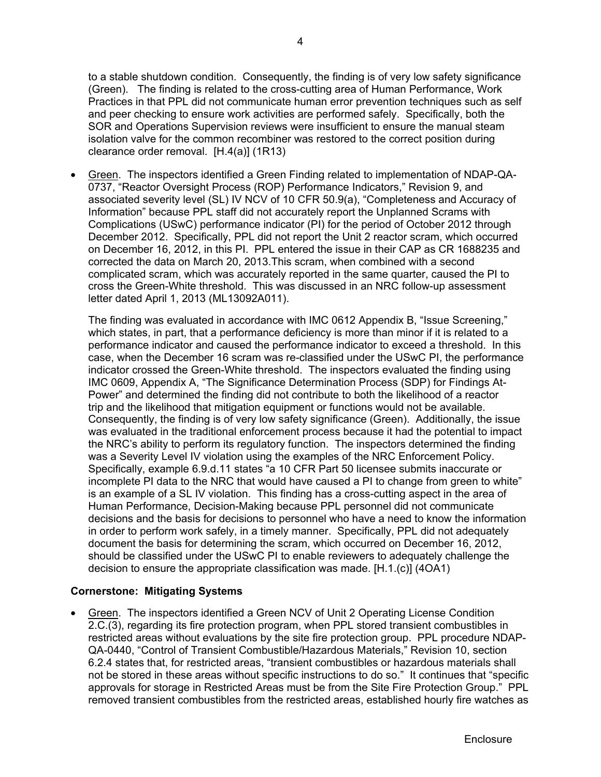to a stable shutdown condition. Consequently, the finding is of very low safety significance (Green). The finding is related to the cross-cutting area of Human Performance, Work Practices in that PPL did not communicate human error prevention techniques such as self and peer checking to ensure work activities are performed safely. Specifically, both the SOR and Operations Supervision reviews were insufficient to ensure the manual steam isolation valve for the common recombiner was restored to the correct position during clearance order removal. [H.4(a)] (1R13)

 Green. The inspectors identified a Green Finding related to implementation of NDAP-QA-0737, "Reactor Oversight Process (ROP) Performance Indicators," Revision 9, and associated severity level (SL) IV NCV of 10 CFR 50.9(a), "Completeness and Accuracy of Information" because PPL staff did not accurately report the Unplanned Scrams with Complications (USwC) performance indicator (PI) for the period of October 2012 through December 2012. Specifically, PPL did not report the Unit 2 reactor scram, which occurred on December 16, 2012, in this PI. PPL entered the issue in their CAP as CR 1688235 and corrected the data on March 20, 2013.This scram, when combined with a second complicated scram, which was accurately reported in the same quarter, caused the PI to cross the Green-White threshold. This was discussed in an NRC follow-up assessment letter dated April 1, 2013 (ML13092A011).

The finding was evaluated in accordance with IMC 0612 Appendix B, "Issue Screening," which states, in part, that a performance deficiency is more than minor if it is related to a performance indicator and caused the performance indicator to exceed a threshold. In this case, when the December 16 scram was re-classified under the USwC PI, the performance indicator crossed the Green-White threshold. The inspectors evaluated the finding using IMC 0609, Appendix A, "The Significance Determination Process (SDP) for Findings At-Power" and determined the finding did not contribute to both the likelihood of a reactor trip and the likelihood that mitigation equipment or functions would not be available. Consequently, the finding is of very low safety significance (Green). Additionally, the issue was evaluated in the traditional enforcement process because it had the potential to impact the NRC's ability to perform its regulatory function. The inspectors determined the finding was a Severity Level IV violation using the examples of the NRC Enforcement Policy. Specifically, example 6.9.d.11 states "a 10 CFR Part 50 licensee submits inaccurate or incomplete PI data to the NRC that would have caused a PI to change from green to white" is an example of a SL IV violation. This finding has a cross-cutting aspect in the area of Human Performance, Decision-Making because PPL personnel did not communicate decisions and the basis for decisions to personnel who have a need to know the information in order to perform work safely, in a timely manner. Specifically, PPL did not adequately document the basis for determining the scram, which occurred on December 16, 2012, should be classified under the USwC PI to enable reviewers to adequately challenge the decision to ensure the appropriate classification was made. [H.1.(c)] (4OA1)

# **Cornerstone: Mitigating Systems**

 Green. The inspectors identified a Green NCV of Unit 2 Operating License Condition 2.C.(3), regarding its fire protection program, when PPL stored transient combustibles in restricted areas without evaluations by the site fire protection group. PPL procedure NDAP-QA-0440, "Control of Transient Combustible/Hazardous Materials," Revision 10, section 6.2.4 states that, for restricted areas, "transient combustibles or hazardous materials shall not be stored in these areas without specific instructions to do so." It continues that "specific approvals for storage in Restricted Areas must be from the Site Fire Protection Group." PPL removed transient combustibles from the restricted areas, established hourly fire watches as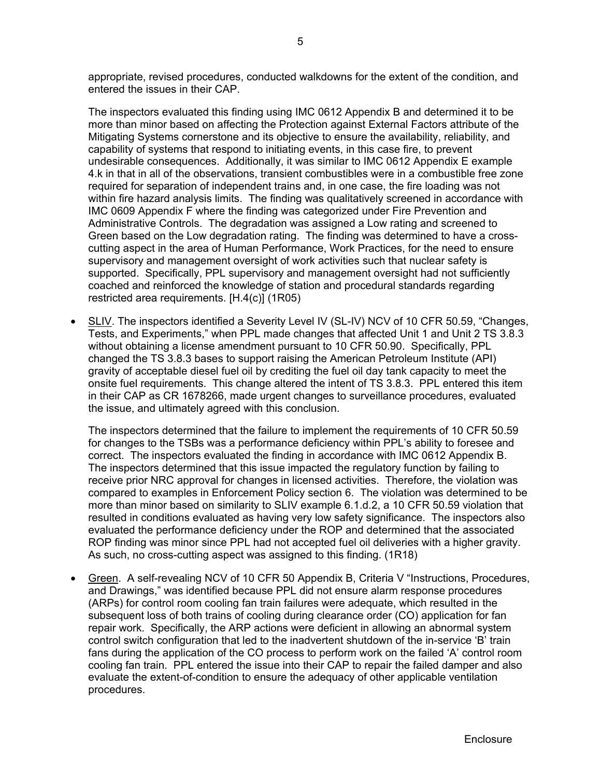appropriate, revised procedures, conducted walkdowns for the extent of the condition, and entered the issues in their CAP.

The inspectors evaluated this finding using IMC 0612 Appendix B and determined it to be more than minor based on affecting the Protection against External Factors attribute of the Mitigating Systems cornerstone and its objective to ensure the availability, reliability, and capability of systems that respond to initiating events, in this case fire, to prevent undesirable consequences. Additionally, it was similar to IMC 0612 Appendix E example 4.k in that in all of the observations, transient combustibles were in a combustible free zone required for separation of independent trains and, in one case, the fire loading was not within fire hazard analysis limits. The finding was qualitatively screened in accordance with IMC 0609 Appendix F where the finding was categorized under Fire Prevention and Administrative Controls. The degradation was assigned a Low rating and screened to Green based on the Low degradation rating. The finding was determined to have a crosscutting aspect in the area of Human Performance, Work Practices, for the need to ensure supervisory and management oversight of work activities such that nuclear safety is supported. Specifically, PPL supervisory and management oversight had not sufficiently coached and reinforced the knowledge of station and procedural standards regarding restricted area requirements. [H.4(c)] (1R05)

 SLIV. The inspectors identified a Severity Level IV (SL-IV) NCV of 10 CFR 50.59, "Changes, Tests, and Experiments," when PPL made changes that affected Unit 1 and Unit 2 TS 3.8.3 without obtaining a license amendment pursuant to 10 CFR 50.90. Specifically, PPL changed the TS 3.8.3 bases to support raising the American Petroleum Institute (API) gravity of acceptable diesel fuel oil by crediting the fuel oil day tank capacity to meet the onsite fuel requirements. This change altered the intent of TS 3.8.3. PPL entered this item in their CAP as CR 1678266, made urgent changes to surveillance procedures, evaluated the issue, and ultimately agreed with this conclusion.

The inspectors determined that the failure to implement the requirements of 10 CFR 50.59 for changes to the TSBs was a performance deficiency within PPL's ability to foresee and correct. The inspectors evaluated the finding in accordance with IMC 0612 Appendix B. The inspectors determined that this issue impacted the regulatory function by failing to receive prior NRC approval for changes in licensed activities. Therefore, the violation was compared to examples in Enforcement Policy section 6. The violation was determined to be more than minor based on similarity to SLIV example 6.1.d.2, a 10 CFR 50.59 violation that resulted in conditions evaluated as having very low safety significance. The inspectors also evaluated the performance deficiency under the ROP and determined that the associated ROP finding was minor since PPL had not accepted fuel oil deliveries with a higher gravity. As such, no cross-cutting aspect was assigned to this finding. (1R18)

 Green. A self-revealing NCV of 10 CFR 50 Appendix B, Criteria V "Instructions, Procedures, and Drawings," was identified because PPL did not ensure alarm response procedures (ARPs) for control room cooling fan train failures were adequate, which resulted in the subsequent loss of both trains of cooling during clearance order (CO) application for fan repair work. Specifically, the ARP actions were deficient in allowing an abnormal system control switch configuration that led to the inadvertent shutdown of the in-service 'B' train fans during the application of the CO process to perform work on the failed 'A' control room cooling fan train. PPL entered the issue into their CAP to repair the failed damper and also evaluate the extent-of-condition to ensure the adequacy of other applicable ventilation procedures.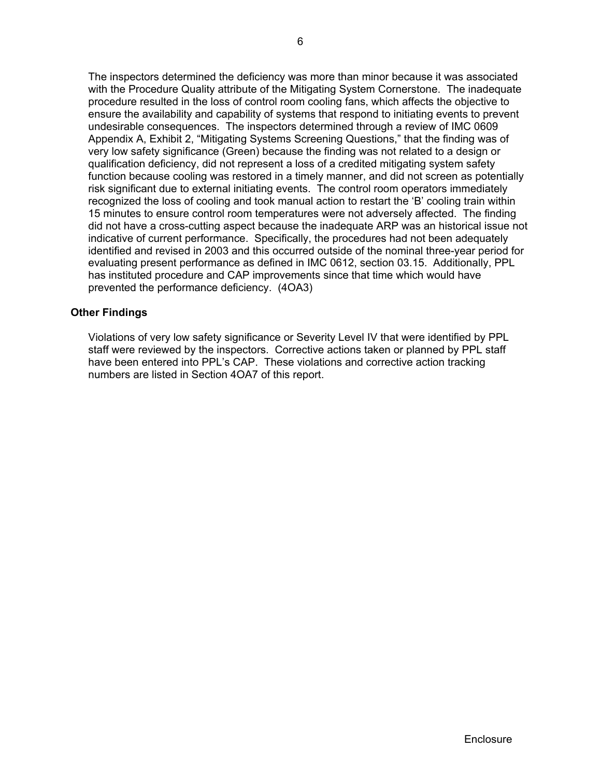The inspectors determined the deficiency was more than minor because it was associated with the Procedure Quality attribute of the Mitigating System Cornerstone. The inadequate procedure resulted in the loss of control room cooling fans, which affects the objective to ensure the availability and capability of systems that respond to initiating events to prevent undesirable consequences. The inspectors determined through a review of IMC 0609 Appendix A, Exhibit 2, "Mitigating Systems Screening Questions," that the finding was of very low safety significance (Green) because the finding was not related to a design or qualification deficiency, did not represent a loss of a credited mitigating system safety function because cooling was restored in a timely manner, and did not screen as potentially risk significant due to external initiating events. The control room operators immediately recognized the loss of cooling and took manual action to restart the 'B' cooling train within 15 minutes to ensure control room temperatures were not adversely affected. The finding did not have a cross-cutting aspect because the inadequate ARP was an historical issue not indicative of current performance. Specifically, the procedures had not been adequately identified and revised in 2003 and this occurred outside of the nominal three-year period for evaluating present performance as defined in IMC 0612, section 03.15. Additionally, PPL has instituted procedure and CAP improvements since that time which would have prevented the performance deficiency. (4OA3)

# **Other Findings**

Violations of very low safety significance or Severity Level IV that were identified by PPL staff were reviewed by the inspectors. Corrective actions taken or planned by PPL staff have been entered into PPL's CAP. These violations and corrective action tracking numbers are listed in Section 4OA7 of this report.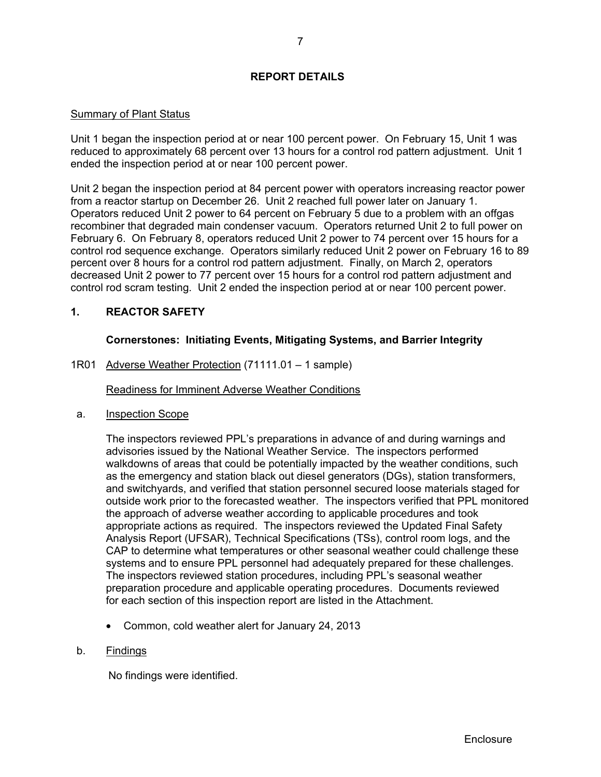# **REPORT DETAILS**

# Summary of Plant Status

Unit 1 began the inspection period at or near 100 percent power. On February 15, Unit 1 was reduced to approximately 68 percent over 13 hours for a control rod pattern adjustment. Unit 1 ended the inspection period at or near 100 percent power.

Unit 2 began the inspection period at 84 percent power with operators increasing reactor power from a reactor startup on December 26. Unit 2 reached full power later on January 1. Operators reduced Unit 2 power to 64 percent on February 5 due to a problem with an offgas recombiner that degraded main condenser vacuum. Operators returned Unit 2 to full power on February 6. On February 8, operators reduced Unit 2 power to 74 percent over 15 hours for a control rod sequence exchange. Operators similarly reduced Unit 2 power on February 16 to 89 percent over 8 hours for a control rod pattern adjustment. Finally, on March 2, operators decreased Unit 2 power to 77 percent over 15 hours for a control rod pattern adjustment and control rod scram testing. Unit 2 ended the inspection period at or near 100 percent power.

# **1. REACTOR SAFETY**

# **Cornerstones: Initiating Events, Mitigating Systems, and Barrier Integrity**

1R01 Adverse Weather Protection (71111.01 – 1 sample)

Readiness for Imminent Adverse Weather Conditions

a. Inspection Scope

The inspectors reviewed PPL's preparations in advance of and during warnings and advisories issued by the National Weather Service. The inspectors performed walkdowns of areas that could be potentially impacted by the weather conditions, such as the emergency and station black out diesel generators (DGs), station transformers, and switchyards, and verified that station personnel secured loose materials staged for outside work prior to the forecasted weather. The inspectors verified that PPL monitored the approach of adverse weather according to applicable procedures and took appropriate actions as required. The inspectors reviewed the Updated Final Safety Analysis Report (UFSAR), Technical Specifications (TSs), control room logs, and the CAP to determine what temperatures or other seasonal weather could challenge these systems and to ensure PPL personnel had adequately prepared for these challenges. The inspectors reviewed station procedures, including PPL's seasonal weather preparation procedure and applicable operating procedures. Documents reviewed for each section of this inspection report are listed in the Attachment.

Common, cold weather alert for January 24, 2013

# b. Findings

No findings were identified.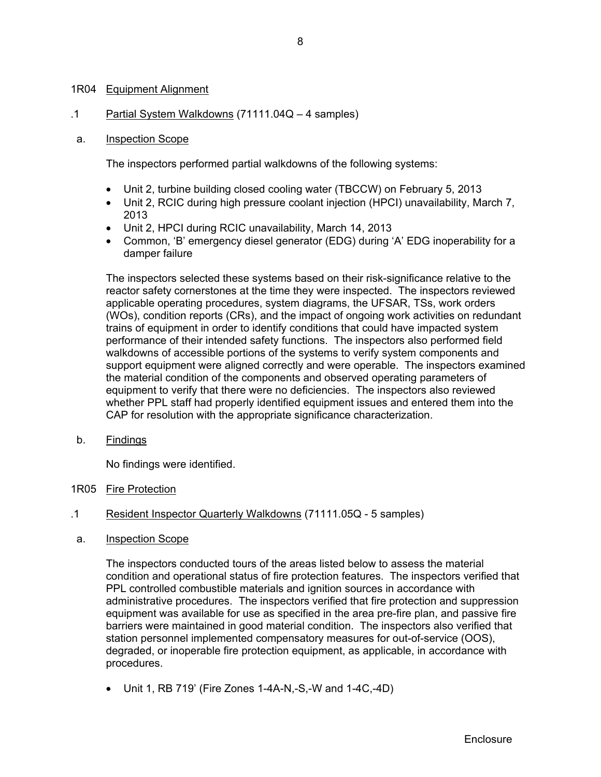# 1R04 Equipment Alignment

.1 Partial System Walkdowns (71111.04Q – 4 samples)

# a. Inspection Scope

The inspectors performed partial walkdowns of the following systems:

- Unit 2, turbine building closed cooling water (TBCCW) on February 5, 2013
- Unit 2, RCIC during high pressure coolant injection (HPCI) unavailability, March 7, 2013
- Unit 2, HPCI during RCIC unavailability, March 14, 2013
- Common, 'B' emergency diesel generator (EDG) during 'A' EDG inoperability for a damper failure

The inspectors selected these systems based on their risk-significance relative to the reactor safety cornerstones at the time they were inspected. The inspectors reviewed applicable operating procedures, system diagrams, the UFSAR, TSs, work orders (WOs), condition reports (CRs), and the impact of ongoing work activities on redundant trains of equipment in order to identify conditions that could have impacted system performance of their intended safety functions. The inspectors also performed field walkdowns of accessible portions of the systems to verify system components and support equipment were aligned correctly and were operable. The inspectors examined the material condition of the components and observed operating parameters of equipment to verify that there were no deficiencies. The inspectors also reviewed whether PPL staff had properly identified equipment issues and entered them into the CAP for resolution with the appropriate significance characterization.

b. Findings

No findings were identified.

- 1R05 Fire Protection
- .1 Resident Inspector Quarterly Walkdowns (71111.05Q 5 samples)
- a. Inspection Scope

The inspectors conducted tours of the areas listed below to assess the material condition and operational status of fire protection features. The inspectors verified that PPL controlled combustible materials and ignition sources in accordance with administrative procedures. The inspectors verified that fire protection and suppression equipment was available for use as specified in the area pre-fire plan, and passive fire barriers were maintained in good material condition. The inspectors also verified that station personnel implemented compensatory measures for out-of-service (OOS), degraded, or inoperable fire protection equipment, as applicable, in accordance with procedures.

 $\bullet$  Unit 1, RB 719' (Fire Zones 1-4A-N,-S,-W and 1-4C,-4D)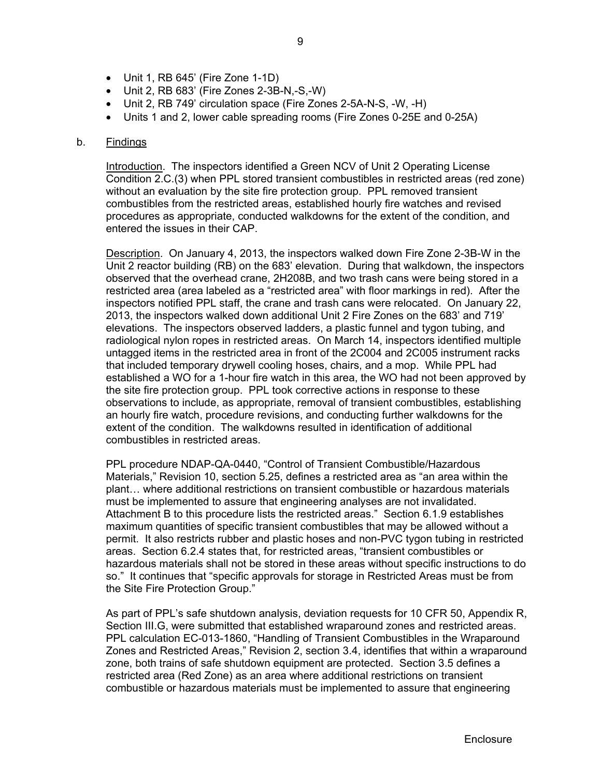- Unit 1, RB 645' (Fire Zone 1-1D)
- Unit 2, RB 683' (Fire Zones 2-3B-N,-S,-W)
- Unit 2, RB 749' circulation space (Fire Zones 2-5A-N-S, -W, -H)
- Units 1 and 2, lower cable spreading rooms (Fire Zones 0-25E and 0-25A)

#### b. Findings

Introduction. The inspectors identified a Green NCV of Unit 2 Operating License Condition 2.C.(3) when PPL stored transient combustibles in restricted areas (red zone) without an evaluation by the site fire protection group. PPL removed transient combustibles from the restricted areas, established hourly fire watches and revised procedures as appropriate, conducted walkdowns for the extent of the condition, and entered the issues in their CAP.

Description. On January 4, 2013, the inspectors walked down Fire Zone 2-3B-W in the Unit 2 reactor building (RB) on the 683' elevation. During that walkdown, the inspectors observed that the overhead crane, 2H208B, and two trash cans were being stored in a restricted area (area labeled as a "restricted area" with floor markings in red). After the inspectors notified PPL staff, the crane and trash cans were relocated. On January 22, 2013, the inspectors walked down additional Unit 2 Fire Zones on the 683' and 719' elevations. The inspectors observed ladders, a plastic funnel and tygon tubing, and radiological nylon ropes in restricted areas. On March 14, inspectors identified multiple untagged items in the restricted area in front of the 2C004 and 2C005 instrument racks that included temporary drywell cooling hoses, chairs, and a mop. While PPL had established a WO for a 1-hour fire watch in this area, the WO had not been approved by the site fire protection group. PPL took corrective actions in response to these observations to include, as appropriate, removal of transient combustibles, establishing an hourly fire watch, procedure revisions, and conducting further walkdowns for the extent of the condition. The walkdowns resulted in identification of additional combustibles in restricted areas.

PPL procedure NDAP-QA-0440, "Control of Transient Combustible/Hazardous Materials," Revision 10, section 5.25, defines a restricted area as "an area within the plant… where additional restrictions on transient combustible or hazardous materials must be implemented to assure that engineering analyses are not invalidated. Attachment B to this procedure lists the restricted areas." Section 6.1.9 establishes maximum quantities of specific transient combustibles that may be allowed without a permit. It also restricts rubber and plastic hoses and non-PVC tygon tubing in restricted areas. Section 6.2.4 states that, for restricted areas, "transient combustibles or hazardous materials shall not be stored in these areas without specific instructions to do so." It continues that "specific approvals for storage in Restricted Areas must be from the Site Fire Protection Group."

As part of PPL's safe shutdown analysis, deviation requests for 10 CFR 50, Appendix R, Section III.G, were submitted that established wraparound zones and restricted areas. PPL calculation EC-013-1860, "Handling of Transient Combustibles in the Wraparound Zones and Restricted Areas," Revision 2, section 3.4, identifies that within a wraparound zone, both trains of safe shutdown equipment are protected. Section 3.5 defines a restricted area (Red Zone) as an area where additional restrictions on transient combustible or hazardous materials must be implemented to assure that engineering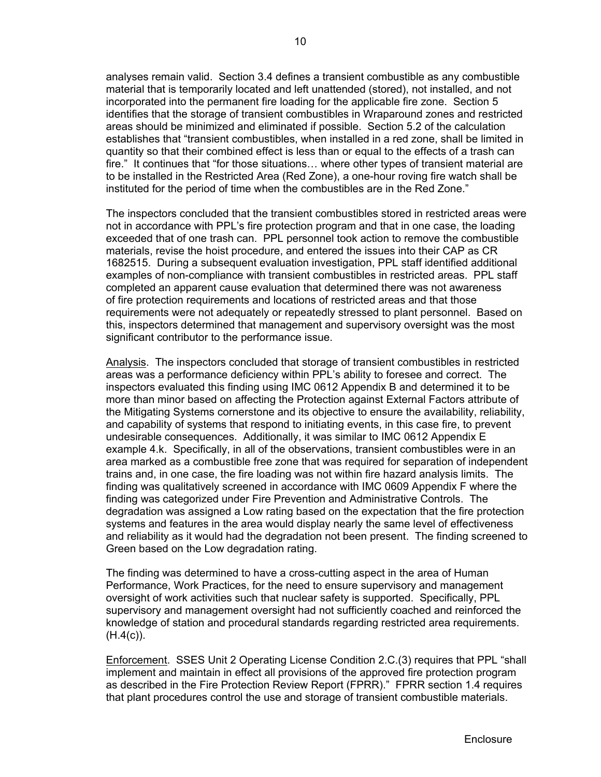analyses remain valid. Section 3.4 defines a transient combustible as any combustible material that is temporarily located and left unattended (stored), not installed, and not incorporated into the permanent fire loading for the applicable fire zone. Section 5 identifies that the storage of transient combustibles in Wraparound zones and restricted areas should be minimized and eliminated if possible. Section 5.2 of the calculation establishes that "transient combustibles, when installed in a red zone, shall be limited in quantity so that their combined effect is less than or equal to the effects of a trash can fire." It continues that "for those situations… where other types of transient material are to be installed in the Restricted Area (Red Zone), a one-hour roving fire watch shall be instituted for the period of time when the combustibles are in the Red Zone."

The inspectors concluded that the transient combustibles stored in restricted areas were not in accordance with PPL's fire protection program and that in one case, the loading exceeded that of one trash can. PPL personnel took action to remove the combustible materials, revise the hoist procedure, and entered the issues into their CAP as CR 1682515. During a subsequent evaluation investigation, PPL staff identified additional examples of non-compliance with transient combustibles in restricted areas. PPL staff completed an apparent cause evaluation that determined there was not awareness of fire protection requirements and locations of restricted areas and that those requirements were not adequately or repeatedly stressed to plant personnel. Based on this, inspectors determined that management and supervisory oversight was the most significant contributor to the performance issue.

Analysis. The inspectors concluded that storage of transient combustibles in restricted areas was a performance deficiency within PPL's ability to foresee and correct. The inspectors evaluated this finding using IMC 0612 Appendix B and determined it to be more than minor based on affecting the Protection against External Factors attribute of the Mitigating Systems cornerstone and its objective to ensure the availability, reliability, and capability of systems that respond to initiating events, in this case fire, to prevent undesirable consequences. Additionally, it was similar to IMC 0612 Appendix E example 4.k. Specifically, in all of the observations, transient combustibles were in an area marked as a combustible free zone that was required for separation of independent trains and, in one case, the fire loading was not within fire hazard analysis limits. The finding was qualitatively screened in accordance with IMC 0609 Appendix F where the finding was categorized under Fire Prevention and Administrative Controls. The degradation was assigned a Low rating based on the expectation that the fire protection systems and features in the area would display nearly the same level of effectiveness and reliability as it would had the degradation not been present. The finding screened to Green based on the Low degradation rating.

The finding was determined to have a cross-cutting aspect in the area of Human Performance, Work Practices, for the need to ensure supervisory and management oversight of work activities such that nuclear safety is supported. Specifically, PPL supervisory and management oversight had not sufficiently coached and reinforced the knowledge of station and procedural standards regarding restricted area requirements.  $(H.4(c))$ .

Enforcement. SSES Unit 2 Operating License Condition 2.C.(3) requires that PPL "shall implement and maintain in effect all provisions of the approved fire protection program as described in the Fire Protection Review Report (FPRR)." FPRR section 1.4 requires that plant procedures control the use and storage of transient combustible materials.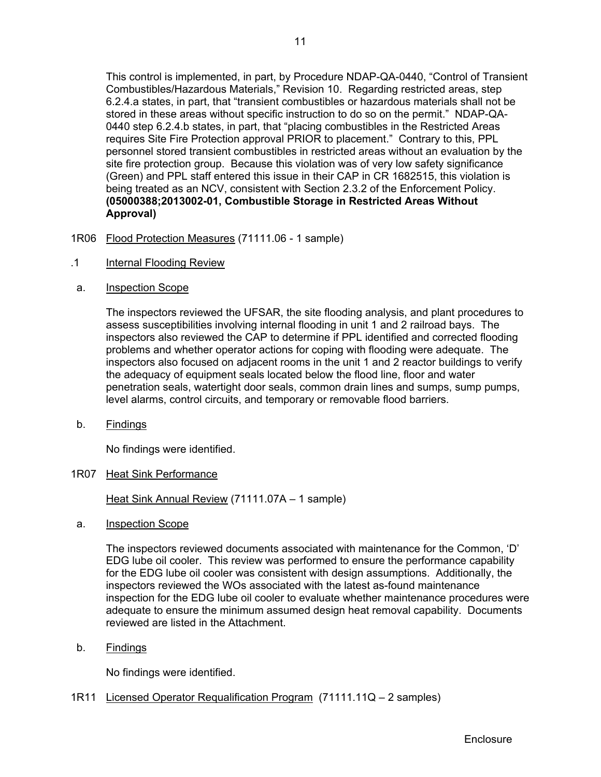This control is implemented, in part, by Procedure NDAP-QA-0440, "Control of Transient Combustibles/Hazardous Materials," Revision 10. Regarding restricted areas, step 6.2.4.a states, in part, that "transient combustibles or hazardous materials shall not be stored in these areas without specific instruction to do so on the permit." NDAP-QA-0440 step 6.2.4.b states, in part, that "placing combustibles in the Restricted Areas requires Site Fire Protection approval PRIOR to placement." Contrary to this, PPL personnel stored transient combustibles in restricted areas without an evaluation by the site fire protection group. Because this violation was of very low safety significance (Green) and PPL staff entered this issue in their CAP in CR 1682515, this violation is being treated as an NCV, consistent with Section 2.3.2 of the Enforcement Policy. **(05000388;2013002-01, Combustible Storage in Restricted Areas Without Approval)**

- 1R06 Flood Protection Measures (71111.06 1 sample)
- .1 Internal Flooding Review
- a. Inspection Scope

The inspectors reviewed the UFSAR, the site flooding analysis, and plant procedures to assess susceptibilities involving internal flooding in unit 1 and 2 railroad bays. The inspectors also reviewed the CAP to determine if PPL identified and corrected flooding problems and whether operator actions for coping with flooding were adequate. The inspectors also focused on adjacent rooms in the unit 1 and 2 reactor buildings to verify the adequacy of equipment seals located below the flood line, floor and water penetration seals, watertight door seals, common drain lines and sumps, sump pumps, level alarms, control circuits, and temporary or removable flood barriers.

b. Findings

No findings were identified.

1R07 Heat Sink Performance

Heat Sink Annual Review (71111.07A – 1 sample)

a. Inspection Scope

The inspectors reviewed documents associated with maintenance for the Common, 'D' EDG lube oil cooler. This review was performed to ensure the performance capability for the EDG lube oil cooler was consistent with design assumptions. Additionally, the inspectors reviewed the WOs associated with the latest as-found maintenance inspection for the EDG lube oil cooler to evaluate whether maintenance procedures were adequate to ensure the minimum assumed design heat removal capability. Documents reviewed are listed in the Attachment.

b. Findings

No findings were identified.

1R11 Licensed Operator Requalification Program (71111.11Q – 2 samples)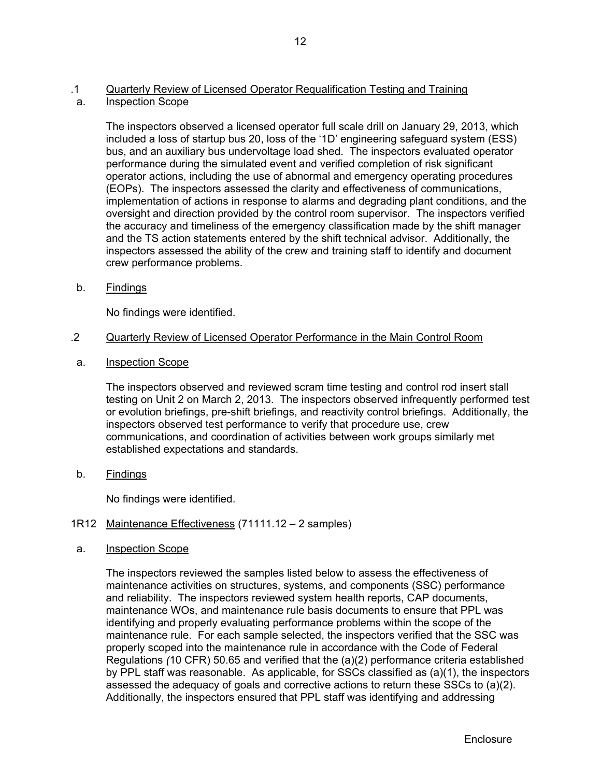# .1 Quarterly Review of Licensed Operator Requalification Testing and Training

a. Inspection Scope

The inspectors observed a licensed operator full scale drill on January 29, 2013, which included a loss of startup bus 20, loss of the '1D' engineering safeguard system (ESS) bus, and an auxiliary bus undervoltage load shed. The inspectors evaluated operator performance during the simulated event and verified completion of risk significant operator actions, including the use of abnormal and emergency operating procedures (EOPs). The inspectors assessed the clarity and effectiveness of communications, implementation of actions in response to alarms and degrading plant conditions, and the oversight and direction provided by the control room supervisor. The inspectors verified the accuracy and timeliness of the emergency classification made by the shift manager and the TS action statements entered by the shift technical advisor. Additionally, the inspectors assessed the ability of the crew and training staff to identify and document crew performance problems.

b. Findings

No findings were identified.

- .2 Quarterly Review of Licensed Operator Performance in the Main Control Room
- a. Inspection Scope

The inspectors observed and reviewed scram time testing and control rod insert stall testing on Unit 2 on March 2, 2013. The inspectors observed infrequently performed test or evolution briefings, pre-shift briefings, and reactivity control briefings. Additionally, the inspectors observed test performance to verify that procedure use, crew communications, and coordination of activities between work groups similarly met established expectations and standards.

b. Findings

No findings were identified.

# 1R12 Maintenance Effectiveness (71111.12 – 2 samples)

a. Inspection Scope

The inspectors reviewed the samples listed below to assess the effectiveness of maintenance activities on structures, systems, and components (SSC) performance and reliability. The inspectors reviewed system health reports, CAP documents, maintenance WOs, and maintenance rule basis documents to ensure that PPL was identifying and properly evaluating performance problems within the scope of the maintenance rule. For each sample selected, the inspectors verified that the SSC was properly scoped into the maintenance rule in accordance with the Code of Federal Regulations *(*10 CFR) 50.65 and verified that the (a)(2) performance criteria established by PPL staff was reasonable. As applicable, for SSCs classified as (a)(1), the inspectors assessed the adequacy of goals and corrective actions to return these SSCs to (a)(2). Additionally, the inspectors ensured that PPL staff was identifying and addressing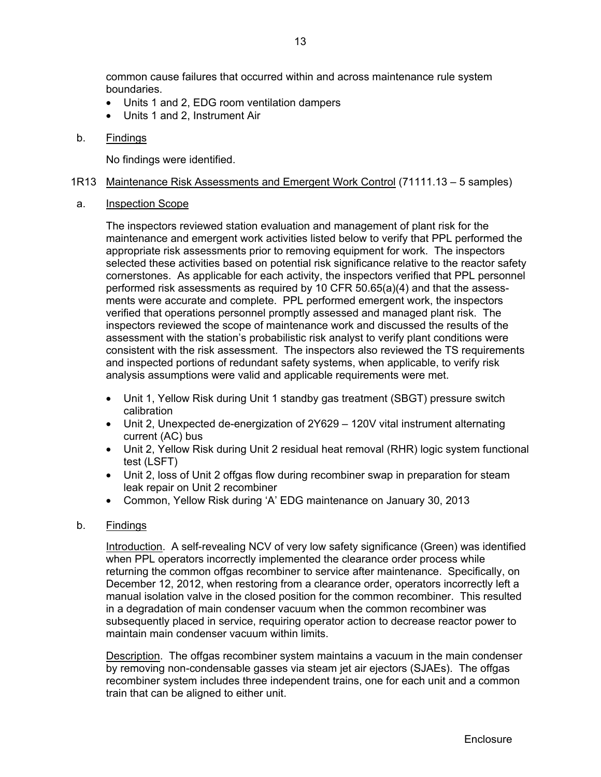common cause failures that occurred within and across maintenance rule system boundaries.

- Units 1 and 2, EDG room ventilation dampers
- Units 1 and 2, Instrument Air

### b. Findings

No findings were identified.

### 1R13 Maintenance Risk Assessments and Emergent Work Control (71111.13 – 5 samples)

#### a. Inspection Scope

The inspectors reviewed station evaluation and management of plant risk for the maintenance and emergent work activities listed below to verify that PPL performed the appropriate risk assessments prior to removing equipment for work. The inspectors selected these activities based on potential risk significance relative to the reactor safety cornerstones. As applicable for each activity, the inspectors verified that PPL personnel performed risk assessments as required by 10 CFR 50.65(a)(4) and that the assessments were accurate and complete. PPL performed emergent work, the inspectors verified that operations personnel promptly assessed and managed plant risk. The inspectors reviewed the scope of maintenance work and discussed the results of the assessment with the station's probabilistic risk analyst to verify plant conditions were consistent with the risk assessment. The inspectors also reviewed the TS requirements and inspected portions of redundant safety systems, when applicable, to verify risk analysis assumptions were valid and applicable requirements were met.

- Unit 1, Yellow Risk during Unit 1 standby gas treatment (SBGT) pressure switch calibration
- Unit 2, Unexpected de-energization of 2Y629 120V vital instrument alternating current (AC) bus
- Unit 2, Yellow Risk during Unit 2 residual heat removal (RHR) logic system functional test (LSFT)
- Unit 2, loss of Unit 2 offgas flow during recombiner swap in preparation for steam leak repair on Unit 2 recombiner
- Common, Yellow Risk during 'A' EDG maintenance on January 30, 2013

# b. Findings

Introduction. A self-revealing NCV of very low safety significance (Green) was identified when PPL operators incorrectly implemented the clearance order process while returning the common offgas recombiner to service after maintenance. Specifically, on December 12, 2012, when restoring from a clearance order, operators incorrectly left a manual isolation valve in the closed position for the common recombiner. This resulted in a degradation of main condenser vacuum when the common recombiner was subsequently placed in service, requiring operator action to decrease reactor power to maintain main condenser vacuum within limits.

Description. The offgas recombiner system maintains a vacuum in the main condenser by removing non-condensable gasses via steam jet air ejectors (SJAEs). The offgas recombiner system includes three independent trains, one for each unit and a common train that can be aligned to either unit.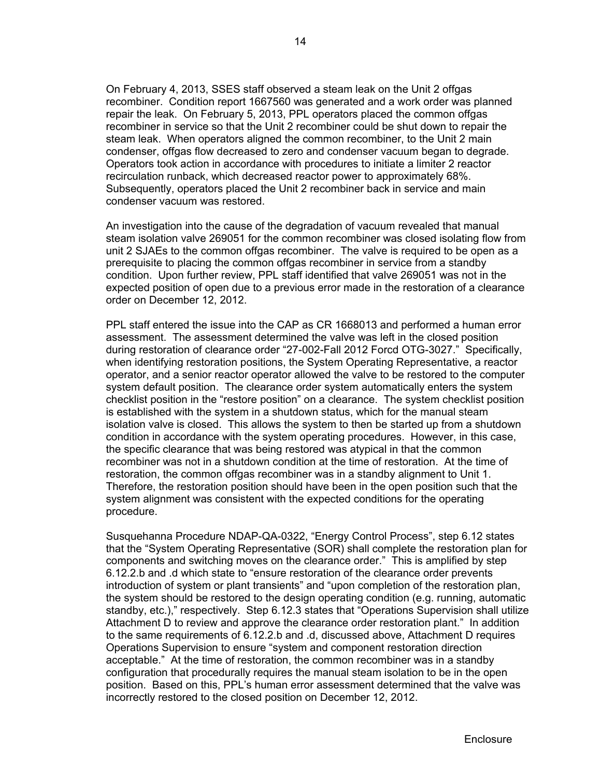On February 4, 2013, SSES staff observed a steam leak on the Unit 2 offgas recombiner. Condition report 1667560 was generated and a work order was planned repair the leak. On February 5, 2013, PPL operators placed the common offgas recombiner in service so that the Unit 2 recombiner could be shut down to repair the steam leak. When operators aligned the common recombiner, to the Unit 2 main condenser, offgas flow decreased to zero and condenser vacuum began to degrade. Operators took action in accordance with procedures to initiate a limiter 2 reactor recirculation runback, which decreased reactor power to approximately 68%. Subsequently, operators placed the Unit 2 recombiner back in service and main condenser vacuum was restored.

An investigation into the cause of the degradation of vacuum revealed that manual steam isolation valve 269051 for the common recombiner was closed isolating flow from unit 2 SJAEs to the common offgas recombiner. The valve is required to be open as a prerequisite to placing the common offgas recombiner in service from a standby condition. Upon further review, PPL staff identified that valve 269051 was not in the expected position of open due to a previous error made in the restoration of a clearance order on December 12, 2012.

PPL staff entered the issue into the CAP as CR 1668013 and performed a human error assessment. The assessment determined the valve was left in the closed position during restoration of clearance order "27-002-Fall 2012 Forcd OTG-3027." Specifically, when identifying restoration positions, the System Operating Representative, a reactor operator, and a senior reactor operator allowed the valve to be restored to the computer system default position. The clearance order system automatically enters the system checklist position in the "restore position" on a clearance. The system checklist position is established with the system in a shutdown status, which for the manual steam isolation valve is closed. This allows the system to then be started up from a shutdown condition in accordance with the system operating procedures. However, in this case, the specific clearance that was being restored was atypical in that the common recombiner was not in a shutdown condition at the time of restoration. At the time of restoration, the common offgas recombiner was in a standby alignment to Unit 1. Therefore, the restoration position should have been in the open position such that the system alignment was consistent with the expected conditions for the operating procedure.

Susquehanna Procedure NDAP-QA-0322, "Energy Control Process", step 6.12 states that the "System Operating Representative (SOR) shall complete the restoration plan for components and switching moves on the clearance order." This is amplified by step 6.12.2.b and .d which state to "ensure restoration of the clearance order prevents introduction of system or plant transients" and "upon completion of the restoration plan, the system should be restored to the design operating condition (e.g. running, automatic standby, etc.)," respectively. Step 6.12.3 states that "Operations Supervision shall utilize Attachment D to review and approve the clearance order restoration plant." In addition to the same requirements of 6.12.2.b and .d, discussed above, Attachment D requires Operations Supervision to ensure "system and component restoration direction acceptable." At the time of restoration, the common recombiner was in a standby configuration that procedurally requires the manual steam isolation to be in the open position. Based on this, PPL's human error assessment determined that the valve was incorrectly restored to the closed position on December 12, 2012.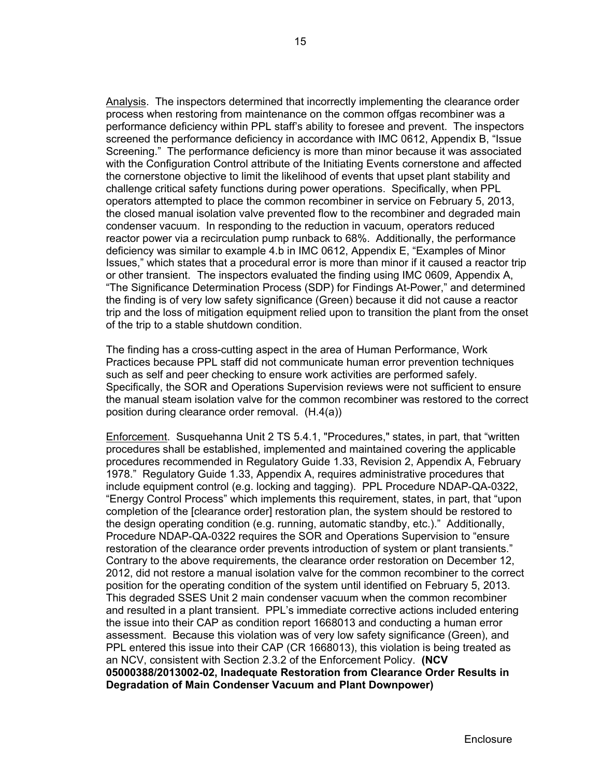Analysis. The inspectors determined that incorrectly implementing the clearance order process when restoring from maintenance on the common offgas recombiner was a performance deficiency within PPL staff's ability to foresee and prevent. The inspectors screened the performance deficiency in accordance with IMC 0612, Appendix B, "Issue Screening." The performance deficiency is more than minor because it was associated with the Configuration Control attribute of the Initiating Events cornerstone and affected the cornerstone objective to limit the likelihood of events that upset plant stability and challenge critical safety functions during power operations. Specifically, when PPL operators attempted to place the common recombiner in service on February 5, 2013, the closed manual isolation valve prevented flow to the recombiner and degraded main condenser vacuum. In responding to the reduction in vacuum, operators reduced reactor power via a recirculation pump runback to 68%. Additionally, the performance deficiency was similar to example 4.b in IMC 0612, Appendix E, "Examples of Minor Issues," which states that a procedural error is more than minor if it caused a reactor trip or other transient. The inspectors evaluated the finding using IMC 0609, Appendix A, "The Significance Determination Process (SDP) for Findings At-Power," and determined the finding is of very low safety significance (Green) because it did not cause a reactor trip and the loss of mitigation equipment relied upon to transition the plant from the onset of the trip to a stable shutdown condition.

The finding has a cross-cutting aspect in the area of Human Performance, Work Practices because PPL staff did not communicate human error prevention techniques such as self and peer checking to ensure work activities are performed safely. Specifically, the SOR and Operations Supervision reviews were not sufficient to ensure the manual steam isolation valve for the common recombiner was restored to the correct position during clearance order removal. (H.4(a))

Enforcement. Susquehanna Unit 2 TS 5.4.1, "Procedures," states, in part, that "written procedures shall be established, implemented and maintained covering the applicable procedures recommended in Regulatory Guide 1.33, Revision 2, Appendix A, February 1978." Regulatory Guide 1.33, Appendix A, requires administrative procedures that include equipment control (e.g. locking and tagging). PPL Procedure NDAP-QA-0322, "Energy Control Process" which implements this requirement, states, in part, that "upon completion of the [clearance order] restoration plan, the system should be restored to the design operating condition (e.g. running, automatic standby, etc.)." Additionally, Procedure NDAP-QA-0322 requires the SOR and Operations Supervision to "ensure restoration of the clearance order prevents introduction of system or plant transients." Contrary to the above requirements, the clearance order restoration on December 12, 2012, did not restore a manual isolation valve for the common recombiner to the correct position for the operating condition of the system until identified on February 5, 2013. This degraded SSES Unit 2 main condenser vacuum when the common recombiner and resulted in a plant transient. PPL's immediate corrective actions included entering the issue into their CAP as condition report 1668013 and conducting a human error assessment. Because this violation was of very low safety significance (Green), and PPL entered this issue into their CAP (CR 1668013), this violation is being treated as an NCV, consistent with Section 2.3.2 of the Enforcement Policy. **(NCV 05000388/2013002-02, Inadequate Restoration from Clearance Order Results in Degradation of Main Condenser Vacuum and Plant Downpower)**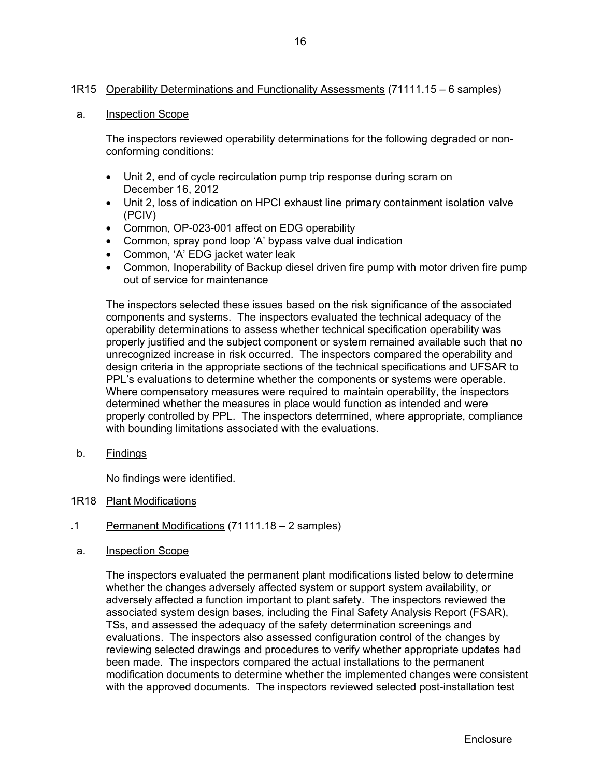# 1R15 Operability Determinations and Functionality Assessments (71111.15 – 6 samples)

### a. Inspection Scope

The inspectors reviewed operability determinations for the following degraded or nonconforming conditions:

- Unit 2, end of cycle recirculation pump trip response during scram on December 16, 2012
- Unit 2, loss of indication on HPCI exhaust line primary containment isolation valve (PCIV)
- Common, OP-023-001 affect on EDG operability
- Common, spray pond loop 'A' bypass valve dual indication
- Common, 'A' EDG jacket water leak
- Common, Inoperability of Backup diesel driven fire pump with motor driven fire pump out of service for maintenance

The inspectors selected these issues based on the risk significance of the associated components and systems. The inspectors evaluated the technical adequacy of the operability determinations to assess whether technical specification operability was properly justified and the subject component or system remained available such that no unrecognized increase in risk occurred. The inspectors compared the operability and design criteria in the appropriate sections of the technical specifications and UFSAR to PPL's evaluations to determine whether the components or systems were operable. Where compensatory measures were required to maintain operability, the inspectors determined whether the measures in place would function as intended and were properly controlled by PPL. The inspectors determined, where appropriate, compliance with bounding limitations associated with the evaluations.

b. Findings

No findings were identified.

- 1R18 Plant Modifications
- .1 Permanent Modifications (71111.18 2 samples)
- a. Inspection Scope

The inspectors evaluated the permanent plant modifications listed below to determine whether the changes adversely affected system or support system availability, or adversely affected a function important to plant safety. The inspectors reviewed the associated system design bases, including the Final Safety Analysis Report (FSAR), TSs, and assessed the adequacy of the safety determination screenings and evaluations. The inspectors also assessed configuration control of the changes by reviewing selected drawings and procedures to verify whether appropriate updates had been made. The inspectors compared the actual installations to the permanent modification documents to determine whether the implemented changes were consistent with the approved documents. The inspectors reviewed selected post-installation test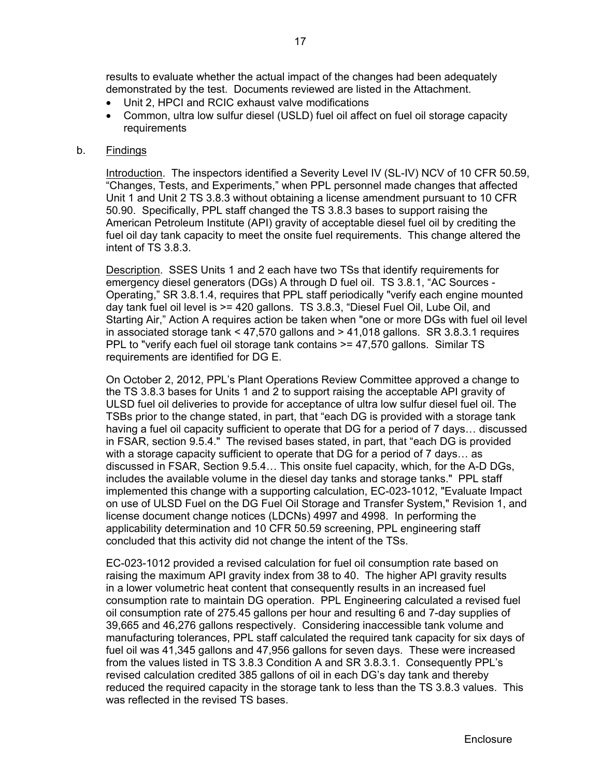results to evaluate whether the actual impact of the changes had been adequately demonstrated by the test. Documents reviewed are listed in the Attachment.

- Unit 2, HPCI and RCIC exhaust valve modifications
- Common, ultra low sulfur diesel (USLD) fuel oil affect on fuel oil storage capacity requirements

# b. Findings

Introduction. The inspectors identified a Severity Level IV (SL-IV) NCV of 10 CFR 50.59, "Changes, Tests, and Experiments," when PPL personnel made changes that affected Unit 1 and Unit 2 TS 3.8.3 without obtaining a license amendment pursuant to 10 CFR 50.90. Specifically, PPL staff changed the TS 3.8.3 bases to support raising the American Petroleum Institute (API) gravity of acceptable diesel fuel oil by crediting the fuel oil day tank capacity to meet the onsite fuel requirements. This change altered the intent of TS 3.8.3.

Description. SSES Units 1 and 2 each have two TSs that identify requirements for emergency diesel generators (DGs) A through D fuel oil. TS 3.8.1, "AC Sources - Operating," SR 3.8.1.4, requires that PPL staff periodically "verify each engine mounted day tank fuel oil level is >= 420 gallons. TS 3.8.3, "Diesel Fuel Oil, Lube Oil, and Starting Air," Action A requires action be taken when "one or more DGs with fuel oil level in associated storage tank  $\leq 47,570$  gallons and  $\geq 41,018$  gallons. SR 3.8.3.1 requires PPL to "verify each fuel oil storage tank contains >= 47,570 gallons. Similar TS requirements are identified for DG E.

On October 2, 2012, PPL's Plant Operations Review Committee approved a change to the TS 3.8.3 bases for Units 1 and 2 to support raising the acceptable API gravity of ULSD fuel oil deliveries to provide for acceptance of ultra low sulfur diesel fuel oil. The TSBs prior to the change stated, in part, that "each DG is provided with a storage tank having a fuel oil capacity sufficient to operate that DG for a period of 7 days… discussed in FSAR, section 9.5.4." The revised bases stated, in part, that "each DG is provided with a storage capacity sufficient to operate that DG for a period of 7 days… as discussed in FSAR, Section 9.5.4… This onsite fuel capacity, which, for the A-D DGs, includes the available volume in the diesel day tanks and storage tanks." PPL staff implemented this change with a supporting calculation, EC-023-1012, "Evaluate Impact on use of ULSD Fuel on the DG Fuel Oil Storage and Transfer System," Revision 1, and license document change notices (LDCNs) 4997 and 4998. In performing the applicability determination and 10 CFR 50.59 screening, PPL engineering staff concluded that this activity did not change the intent of the TSs.

EC-023-1012 provided a revised calculation for fuel oil consumption rate based on raising the maximum API gravity index from 38 to 40. The higher API gravity results in a lower volumetric heat content that consequently results in an increased fuel consumption rate to maintain DG operation. PPL Engineering calculated a revised fuel oil consumption rate of 275.45 gallons per hour and resulting 6 and 7-day supplies of 39,665 and 46,276 gallons respectively. Considering inaccessible tank volume and manufacturing tolerances, PPL staff calculated the required tank capacity for six days of fuel oil was 41,345 gallons and 47,956 gallons for seven days. These were increased from the values listed in TS 3.8.3 Condition A and SR 3.8.3.1. Consequently PPL's revised calculation credited 385 gallons of oil in each DG's day tank and thereby reduced the required capacity in the storage tank to less than the TS 3.8.3 values. This was reflected in the revised TS bases.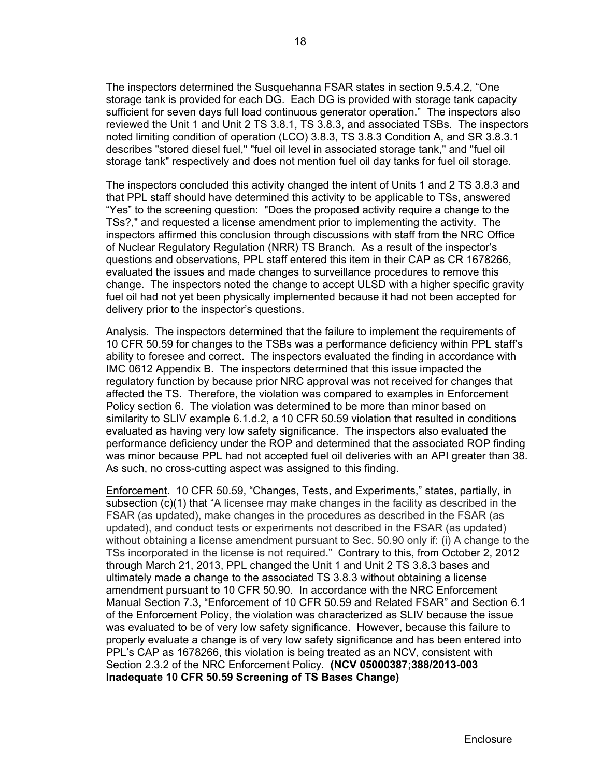The inspectors determined the Susquehanna FSAR states in section 9.5.4.2, "One storage tank is provided for each DG. Each DG is provided with storage tank capacity sufficient for seven days full load continuous generator operation." The inspectors also reviewed the Unit 1 and Unit 2 TS 3.8.1, TS 3.8.3, and associated TSBs. The inspectors noted limiting condition of operation (LCO) 3.8.3, TS 3.8.3 Condition A, and SR 3.8.3.1 describes "stored diesel fuel," "fuel oil level in associated storage tank," and "fuel oil storage tank" respectively and does not mention fuel oil day tanks for fuel oil storage.

The inspectors concluded this activity changed the intent of Units 1 and 2 TS 3.8.3 and that PPL staff should have determined this activity to be applicable to TSs, answered "Yes" to the screening question: "Does the proposed activity require a change to the TSs?," and requested a license amendment prior to implementing the activity. The inspectors affirmed this conclusion through discussions with staff from the NRC Office of Nuclear Regulatory Regulation (NRR) TS Branch. As a result of the inspector's questions and observations, PPL staff entered this item in their CAP as CR 1678266, evaluated the issues and made changes to surveillance procedures to remove this change. The inspectors noted the change to accept ULSD with a higher specific gravity fuel oil had not yet been physically implemented because it had not been accepted for delivery prior to the inspector's questions.

Analysis. The inspectors determined that the failure to implement the requirements of 10 CFR 50.59 for changes to the TSBs was a performance deficiency within PPL staff's ability to foresee and correct. The inspectors evaluated the finding in accordance with IMC 0612 Appendix B. The inspectors determined that this issue impacted the regulatory function by because prior NRC approval was not received for changes that affected the TS. Therefore, the violation was compared to examples in Enforcement Policy section 6. The violation was determined to be more than minor based on similarity to SLIV example 6.1.d.2, a 10 CFR 50.59 violation that resulted in conditions evaluated as having very low safety significance. The inspectors also evaluated the performance deficiency under the ROP and determined that the associated ROP finding was minor because PPL had not accepted fuel oil deliveries with an API greater than 38. As such, no cross-cutting aspect was assigned to this finding.

Enforcement. 10 CFR 50.59, "Changes, Tests, and Experiments," states, partially, in subsection (c)(1) that "A licensee may make changes in the facility as described in the FSAR (as updated), make changes in the procedures as described in the FSAR (as updated), and conduct tests or experiments not described in the FSAR (as updated) without obtaining a license amendment pursuant to Sec. 50.90 only if: (i) A change to the TSs incorporated in the license is not required." Contrary to this, from October 2, 2012 through March 21, 2013, PPL changed the Unit 1 and Unit 2 TS 3.8.3 bases and ultimately made a change to the associated TS 3.8.3 without obtaining a license amendment pursuant to 10 CFR 50.90. In accordance with the NRC Enforcement Manual Section 7.3, "Enforcement of 10 CFR 50.59 and Related FSAR" and Section 6.1 of the Enforcement Policy, the violation was characterized as SLIV because the issue was evaluated to be of very low safety significance. However, because this failure to properly evaluate a change is of very low safety significance and has been entered into PPL's CAP as 1678266, this violation is being treated as an NCV, consistent with Section 2.3.2 of the NRC Enforcement Policy. **(NCV 05000387;388/2013-003 Inadequate 10 CFR 50.59 Screening of TS Bases Change)**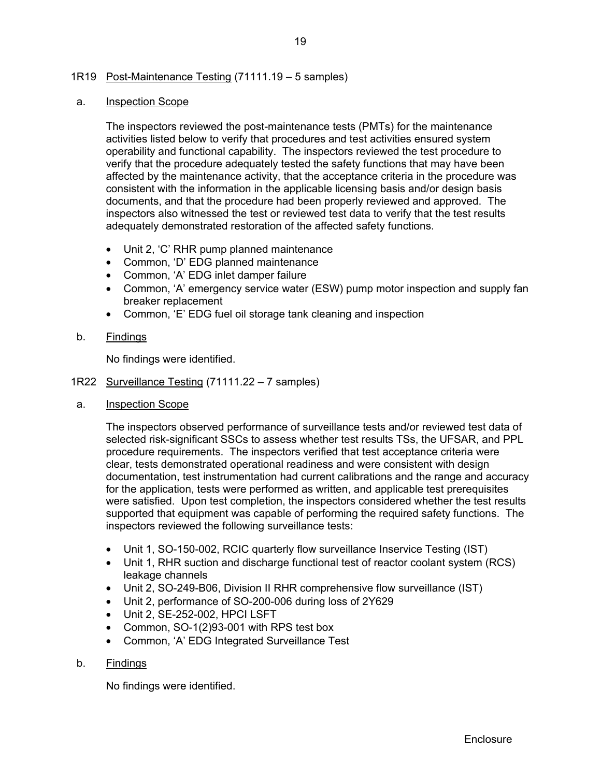# 1R19 Post-Maintenance Testing (71111.19 – 5 samples)

#### a. Inspection Scope

The inspectors reviewed the post-maintenance tests (PMTs) for the maintenance activities listed below to verify that procedures and test activities ensured system operability and functional capability. The inspectors reviewed the test procedure to verify that the procedure adequately tested the safety functions that may have been affected by the maintenance activity, that the acceptance criteria in the procedure was consistent with the information in the applicable licensing basis and/or design basis documents, and that the procedure had been properly reviewed and approved. The inspectors also witnessed the test or reviewed test data to verify that the test results adequately demonstrated restoration of the affected safety functions.

- Unit 2, 'C' RHR pump planned maintenance
- Common, 'D' EDG planned maintenance
- Common, 'A' EDG inlet damper failure
- Common, 'A' emergency service water (ESW) pump motor inspection and supply fan breaker replacement
- Common, 'E' EDG fuel oil storage tank cleaning and inspection
- b. Findings

No findings were identified.

- 1R22 Surveillance Testing (71111.22 7 samples)
- a. **Inspection Scope**

The inspectors observed performance of surveillance tests and/or reviewed test data of selected risk-significant SSCs to assess whether test results TSs, the UFSAR, and PPL procedure requirements. The inspectors verified that test acceptance criteria were clear, tests demonstrated operational readiness and were consistent with design documentation, test instrumentation had current calibrations and the range and accuracy for the application, tests were performed as written, and applicable test prerequisites were satisfied. Upon test completion, the inspectors considered whether the test results supported that equipment was capable of performing the required safety functions. The inspectors reviewed the following surveillance tests:

- Unit 1, SO-150-002, RCIC quarterly flow surveillance Inservice Testing (IST)
- Unit 1, RHR suction and discharge functional test of reactor coolant system (RCS) leakage channels
- Unit 2, SO-249-B06, Division II RHR comprehensive flow surveillance (IST)
- Unit 2, performance of SO-200-006 during loss of 2Y629
- Unit 2, SE-252-002, HPCI LSFT
- Common, SO-1(2)93-001 with RPS test box
- Common, 'A' EDG Integrated Surveillance Test
- b. Findings

No findings were identified.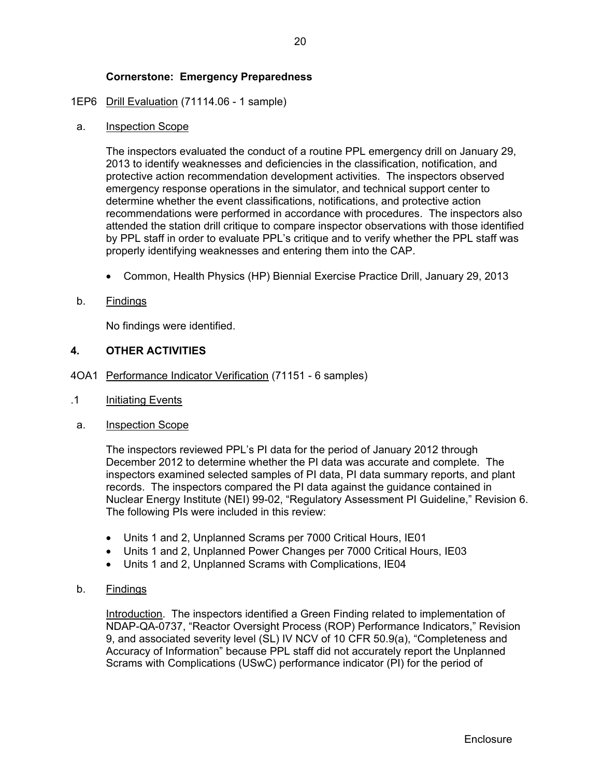# 1EP6 Drill Evaluation (71114.06 - 1 sample)

### a. Inspection Scope

The inspectors evaluated the conduct of a routine PPL emergency drill on January 29, 2013 to identify weaknesses and deficiencies in the classification, notification, and protective action recommendation development activities. The inspectors observed emergency response operations in the simulator, and technical support center to determine whether the event classifications, notifications, and protective action recommendations were performed in accordance with procedures. The inspectors also attended the station drill critique to compare inspector observations with those identified by PPL staff in order to evaluate PPL's critique and to verify whether the PPL staff was properly identifying weaknesses and entering them into the CAP.

Common, Health Physics (HP) Biennial Exercise Practice Drill, January 29, 2013

# b. Findings

No findings were identified.

# **4. OTHER ACTIVITIES**

- 4OA1 Performance Indicator Verification (71151 6 samples)
- .1 Initiating Events
- a. Inspection Scope

 The inspectors reviewed PPL's PI data for the period of January 2012 through December 2012 to determine whether the PI data was accurate and complete. The inspectors examined selected samples of PI data, PI data summary reports, and plant records. The inspectors compared the PI data against the guidance contained in Nuclear Energy Institute (NEI) 99-02, "Regulatory Assessment PI Guideline," Revision 6. The following PIs were included in this review:

- Units 1 and 2, Unplanned Scrams per 7000 Critical Hours, IE01
- Units 1 and 2, Unplanned Power Changes per 7000 Critical Hours, IE03
- Units 1 and 2, Unplanned Scrams with Complications, IE04
- b. Findings

Introduction. The inspectors identified a Green Finding related to implementation of NDAP-QA-0737, "Reactor Oversight Process (ROP) Performance Indicators," Revision 9, and associated severity level (SL) IV NCV of 10 CFR 50.9(a), "Completeness and Accuracy of Information" because PPL staff did not accurately report the Unplanned Scrams with Complications (USwC) performance indicator (PI) for the period of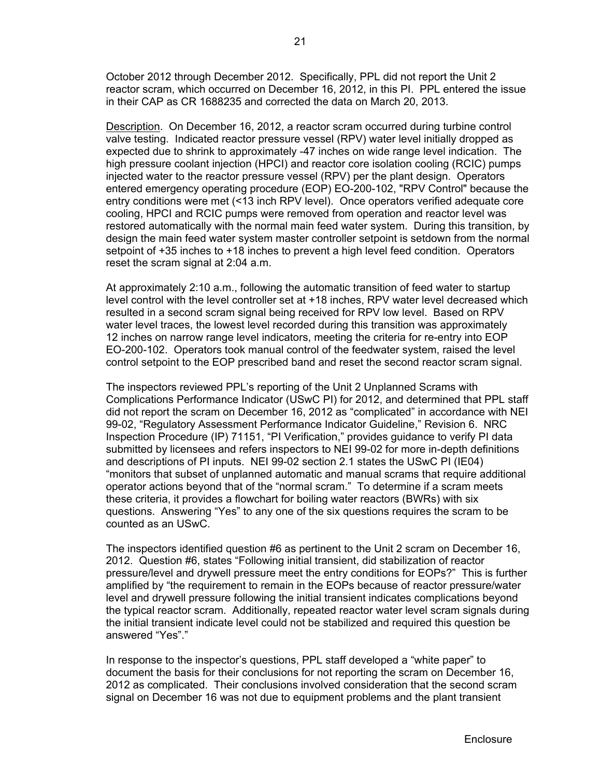October 2012 through December 2012. Specifically, PPL did not report the Unit 2 reactor scram, which occurred on December 16, 2012, in this PI. PPL entered the issue in their CAP as CR 1688235 and corrected the data on March 20, 2013.

Description. On December 16, 2012, a reactor scram occurred during turbine control valve testing. Indicated reactor pressure vessel (RPV) water level initially dropped as expected due to shrink to approximately -47 inches on wide range level indication. The high pressure coolant injection (HPCI) and reactor core isolation cooling (RCIC) pumps injected water to the reactor pressure vessel (RPV) per the plant design. Operators entered emergency operating procedure (EOP) EO-200-102, "RPV Control" because the entry conditions were met (<13 inch RPV level). Once operators verified adequate core cooling, HPCI and RCIC pumps were removed from operation and reactor level was restored automatically with the normal main feed water system. During this transition, by design the main feed water system master controller setpoint is setdown from the normal setpoint of +35 inches to +18 inches to prevent a high level feed condition. Operators reset the scram signal at 2:04 a.m.

At approximately 2:10 a.m., following the automatic transition of feed water to startup level control with the level controller set at +18 inches, RPV water level decreased which resulted in a second scram signal being received for RPV low level. Based on RPV water level traces, the lowest level recorded during this transition was approximately 12 inches on narrow range level indicators, meeting the criteria for re-entry into EOP EO-200-102. Operators took manual control of the feedwater system, raised the level control setpoint to the EOP prescribed band and reset the second reactor scram signal.

The inspectors reviewed PPL's reporting of the Unit 2 Unplanned Scrams with Complications Performance Indicator (USwC PI) for 2012, and determined that PPL staff did not report the scram on December 16, 2012 as "complicated" in accordance with NEI 99-02, "Regulatory Assessment Performance Indicator Guideline," Revision 6. NRC Inspection Procedure (IP) 71151, "PI Verification," provides guidance to verify PI data submitted by licensees and refers inspectors to NEI 99-02 for more in-depth definitions and descriptions of PI inputs. NEI 99-02 section 2.1 states the USwC PI (IE04) "monitors that subset of unplanned automatic and manual scrams that require additional operator actions beyond that of the "normal scram." To determine if a scram meets these criteria, it provides a flowchart for boiling water reactors (BWRs) with six questions. Answering "Yes" to any one of the six questions requires the scram to be counted as an USwC.

The inspectors identified question #6 as pertinent to the Unit 2 scram on December 16, 2012. Question #6, states "Following initial transient, did stabilization of reactor pressure/level and drywell pressure meet the entry conditions for EOPs?" This is further amplified by "the requirement to remain in the EOPs because of reactor pressure/water level and drywell pressure following the initial transient indicates complications beyond the typical reactor scram. Additionally, repeated reactor water level scram signals during the initial transient indicate level could not be stabilized and required this question be answered "Yes"."

In response to the inspector's questions, PPL staff developed a "white paper" to document the basis for their conclusions for not reporting the scram on December 16, 2012 as complicated. Their conclusions involved consideration that the second scram signal on December 16 was not due to equipment problems and the plant transient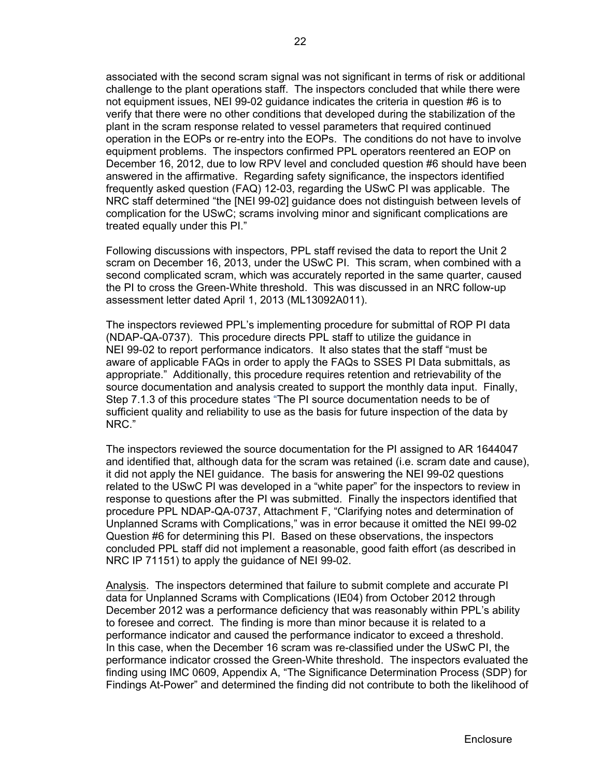associated with the second scram signal was not significant in terms of risk or additional challenge to the plant operations staff. The inspectors concluded that while there were not equipment issues, NEI 99-02 guidance indicates the criteria in question #6 is to verify that there were no other conditions that developed during the stabilization of the plant in the scram response related to vessel parameters that required continued operation in the EOPs or re-entry into the EOPs. The conditions do not have to involve equipment problems. The inspectors confirmed PPL operators reentered an EOP on December 16, 2012, due to low RPV level and concluded question #6 should have been answered in the affirmative. Regarding safety significance, the inspectors identified frequently asked question (FAQ) 12-03, regarding the USwC PI was applicable. The NRC staff determined "the [NEI 99-02] guidance does not distinguish between levels of complication for the USwC; scrams involving minor and significant complications are treated equally under this PI."

Following discussions with inspectors, PPL staff revised the data to report the Unit 2 scram on December 16, 2013, under the USwC PI. This scram, when combined with a second complicated scram, which was accurately reported in the same quarter, caused the PI to cross the Green-White threshold. This was discussed in an NRC follow-up assessment letter dated April 1, 2013 (ML13092A011).

The inspectors reviewed PPL's implementing procedure for submittal of ROP PI data (NDAP-QA-0737). This procedure directs PPL staff to utilize the guidance in NEI 99-02 to report performance indicators. It also states that the staff "must be aware of applicable FAQs in order to apply the FAQs to SSES PI Data submittals, as appropriate." Additionally, this procedure requires retention and retrievability of the source documentation and analysis created to support the monthly data input. Finally, Step 7.1.3 of this procedure states "The PI source documentation needs to be of sufficient quality and reliability to use as the basis for future inspection of the data by NRC."

The inspectors reviewed the source documentation for the PI assigned to AR 1644047 and identified that, although data for the scram was retained (i.e. scram date and cause), it did not apply the NEI guidance. The basis for answering the NEI 99-02 questions related to the USwC PI was developed in a "white paper" for the inspectors to review in response to questions after the PI was submitted. Finally the inspectors identified that procedure PPL NDAP-QA-0737, Attachment F, "Clarifying notes and determination of Unplanned Scrams with Complications," was in error because it omitted the NEI 99-02 Question #6 for determining this PI. Based on these observations, the inspectors concluded PPL staff did not implement a reasonable, good faith effort (as described in NRC IP 71151) to apply the guidance of NEI 99-02.

Analysis. The inspectors determined that failure to submit complete and accurate PI data for Unplanned Scrams with Complications (IE04) from October 2012 through December 2012 was a performance deficiency that was reasonably within PPL's ability to foresee and correct. The finding is more than minor because it is related to a performance indicator and caused the performance indicator to exceed a threshold. In this case, when the December 16 scram was re-classified under the USwC PI, the performance indicator crossed the Green-White threshold. The inspectors evaluated the finding using IMC 0609, Appendix A, "The Significance Determination Process (SDP) for Findings At-Power" and determined the finding did not contribute to both the likelihood of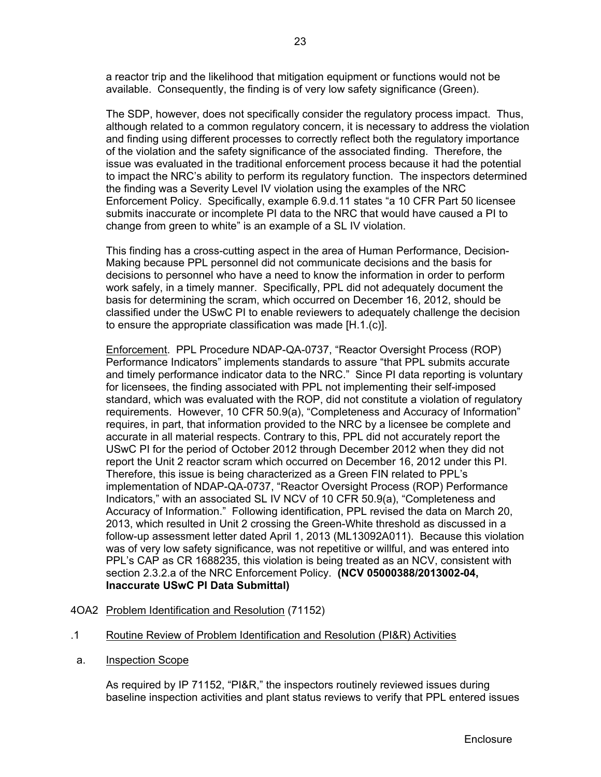a reactor trip and the likelihood that mitigation equipment or functions would not be available. Consequently, the finding is of very low safety significance (Green).

The SDP, however, does not specifically consider the regulatory process impact. Thus, although related to a common regulatory concern, it is necessary to address the violation and finding using different processes to correctly reflect both the regulatory importance of the violation and the safety significance of the associated finding. Therefore, the issue was evaluated in the traditional enforcement process because it had the potential to impact the NRC's ability to perform its regulatory function. The inspectors determined the finding was a Severity Level IV violation using the examples of the NRC Enforcement Policy. Specifically, example 6.9.d.11 states "a 10 CFR Part 50 licensee submits inaccurate or incomplete PI data to the NRC that would have caused a PI to change from green to white" is an example of a SL IV violation.

This finding has a cross-cutting aspect in the area of Human Performance, Decision-Making because PPL personnel did not communicate decisions and the basis for decisions to personnel who have a need to know the information in order to perform work safely, in a timely manner. Specifically, PPL did not adequately document the basis for determining the scram, which occurred on December 16, 2012, should be classified under the USwC PI to enable reviewers to adequately challenge the decision to ensure the appropriate classification was made [H.1.(c)].

Enforcement. PPL Procedure NDAP-QA-0737, "Reactor Oversight Process (ROP) Performance Indicators" implements standards to assure "that PPL submits accurate and timely performance indicator data to the NRC." Since PI data reporting is voluntary for licensees, the finding associated with PPL not implementing their self-imposed standard, which was evaluated with the ROP, did not constitute a violation of regulatory requirements. However, 10 CFR 50.9(a), "Completeness and Accuracy of Information" requires, in part, that information provided to the NRC by a licensee be complete and accurate in all material respects. Contrary to this, PPL did not accurately report the USwC PI for the period of October 2012 through December 2012 when they did not report the Unit 2 reactor scram which occurred on December 16, 2012 under this PI. Therefore, this issue is being characterized as a Green FIN related to PPL's implementation of NDAP-QA-0737, "Reactor Oversight Process (ROP) Performance Indicators," with an associated SL IV NCV of 10 CFR 50.9(a), "Completeness and Accuracy of Information." Following identification, PPL revised the data on March 20, 2013, which resulted in Unit 2 crossing the Green-White threshold as discussed in a follow-up assessment letter dated April 1, 2013 (ML13092A011). Because this violation was of very low safety significance, was not repetitive or willful, and was entered into PPL's CAP as CR 1688235, this violation is being treated as an NCV, consistent with section 2.3.2.a of the NRC Enforcement Policy. **(NCV 05000388/2013002-04, Inaccurate USwC PI Data Submittal)** 

# 4OA2 Problem Identification and Resolution (71152)

- .1 Routine Review of Problem Identification and Resolution (PI&R) Activities
- a. Inspection Scope

As required by IP 71152, "PI&R," the inspectors routinely reviewed issues during baseline inspection activities and plant status reviews to verify that PPL entered issues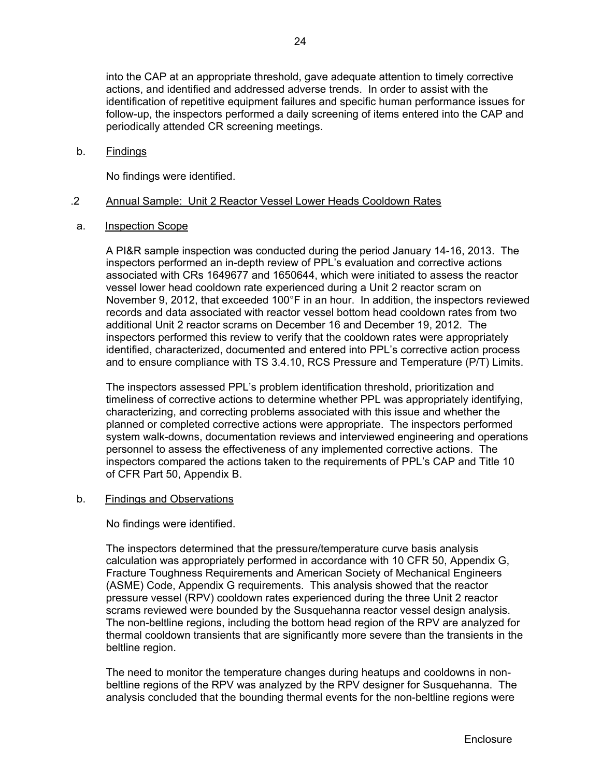into the CAP at an appropriate threshold, gave adequate attention to timely corrective actions, and identified and addressed adverse trends. In order to assist with the identification of repetitive equipment failures and specific human performance issues for follow-up, the inspectors performed a daily screening of items entered into the CAP and periodically attended CR screening meetings.

# b. Findings

No findings were identified.

# .2 Annual Sample: Unit 2 Reactor Vessel Lower Heads Cooldown Rates

a. Inspection Scope

A PI&R sample inspection was conducted during the period January 14-16, 2013. The inspectors performed an in-depth review of PPL's evaluation and corrective actions associated with CRs 1649677 and 1650644, which were initiated to assess the reactor vessel lower head cooldown rate experienced during a Unit 2 reactor scram on November 9, 2012, that exceeded 100°F in an hour. In addition, the inspectors reviewed records and data associated with reactor vessel bottom head cooldown rates from two additional Unit 2 reactor scrams on December 16 and December 19, 2012. The inspectors performed this review to verify that the cooldown rates were appropriately identified, characterized, documented and entered into PPL's corrective action process and to ensure compliance with TS 3.4.10, RCS Pressure and Temperature (P/T) Limits.

The inspectors assessed PPL's problem identification threshold, prioritization and timeliness of corrective actions to determine whether PPL was appropriately identifying, characterizing, and correcting problems associated with this issue and whether the planned or completed corrective actions were appropriate. The inspectors performed system walk-downs, documentation reviews and interviewed engineering and operations personnel to assess the effectiveness of any implemented corrective actions. The inspectors compared the actions taken to the requirements of PPL's CAP and Title 10 of CFR Part 50, Appendix B.

# b. Findings and Observations

No findings were identified.

The inspectors determined that the pressure/temperature curve basis analysis calculation was appropriately performed in accordance with 10 CFR 50, Appendix G, Fracture Toughness Requirements and American Society of Mechanical Engineers (ASME) Code, Appendix G requirements. This analysis showed that the reactor pressure vessel (RPV) cooldown rates experienced during the three Unit 2 reactor scrams reviewed were bounded by the Susquehanna reactor vessel design analysis. The non-beltline regions, including the bottom head region of the RPV are analyzed for thermal cooldown transients that are significantly more severe than the transients in the beltline region.

The need to monitor the temperature changes during heatups and cooldowns in nonbeltline regions of the RPV was analyzed by the RPV designer for Susquehanna. The analysis concluded that the bounding thermal events for the non-beltline regions were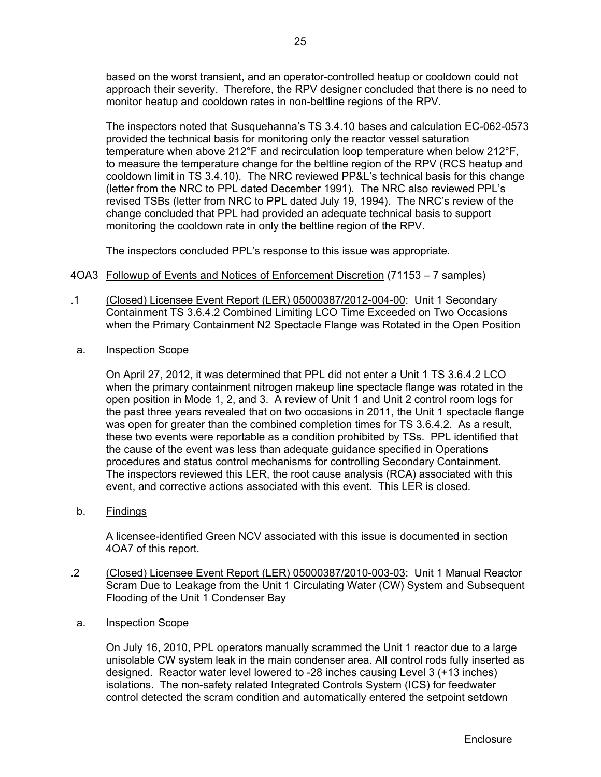based on the worst transient, and an operator-controlled heatup or cooldown could not approach their severity. Therefore, the RPV designer concluded that there is no need to monitor heatup and cooldown rates in non-beltline regions of the RPV.

The inspectors noted that Susquehanna's TS 3.4.10 bases and calculation EC-062-0573 provided the technical basis for monitoring only the reactor vessel saturation temperature when above 212°F and recirculation loop temperature when below 212°F, to measure the temperature change for the beltline region of the RPV (RCS heatup and cooldown limit in TS 3.4.10). The NRC reviewed PP&L's technical basis for this change (letter from the NRC to PPL dated December 1991). The NRC also reviewed PPL's revised TSBs (letter from NRC to PPL dated July 19, 1994). The NRC's review of the change concluded that PPL had provided an adequate technical basis to support monitoring the cooldown rate in only the beltline region of the RPV.

The inspectors concluded PPL's response to this issue was appropriate.

- 4OA3 Followup of Events and Notices of Enforcement Discretion (71153 7 samples)
- .1 (Closed) Licensee Event Report (LER) 05000387/2012-004-00: Unit 1 Secondary Containment TS 3.6.4.2 Combined Limiting LCO Time Exceeded on Two Occasions when the Primary Containment N2 Spectacle Flange was Rotated in the Open Position
- a. Inspection Scope

On April 27, 2012, it was determined that PPL did not enter a Unit 1 TS 3.6.4.2 LCO when the primary containment nitrogen makeup line spectacle flange was rotated in the open position in Mode 1, 2, and 3. A review of Unit 1 and Unit 2 control room logs for the past three years revealed that on two occasions in 2011, the Unit 1 spectacle flange was open for greater than the combined completion times for TS 3.6.4.2. As a result, these two events were reportable as a condition prohibited by TSs. PPL identified that the cause of the event was less than adequate guidance specified in Operations procedures and status control mechanisms for controlling Secondary Containment. The inspectors reviewed this LER, the root cause analysis (RCA) associated with this event, and corrective actions associated with this event. This LER is closed.

b. Findings

A licensee-identified Green NCV associated with this issue is documented in section 4OA7 of this report.

- .2 (Closed) Licensee Event Report (LER) 05000387/2010-003-03: Unit 1 Manual Reactor Scram Due to Leakage from the Unit 1 Circulating Water (CW) System and Subsequent Flooding of the Unit 1 Condenser Bay
- a. Inspection Scope

On July 16, 2010, PPL operators manually scrammed the Unit 1 reactor due to a large unisolable CW system leak in the main condenser area. All control rods fully inserted as designed. Reactor water level lowered to -28 inches causing Level 3 (+13 inches) isolations. The non-safety related Integrated Controls System (ICS) for feedwater control detected the scram condition and automatically entered the setpoint setdown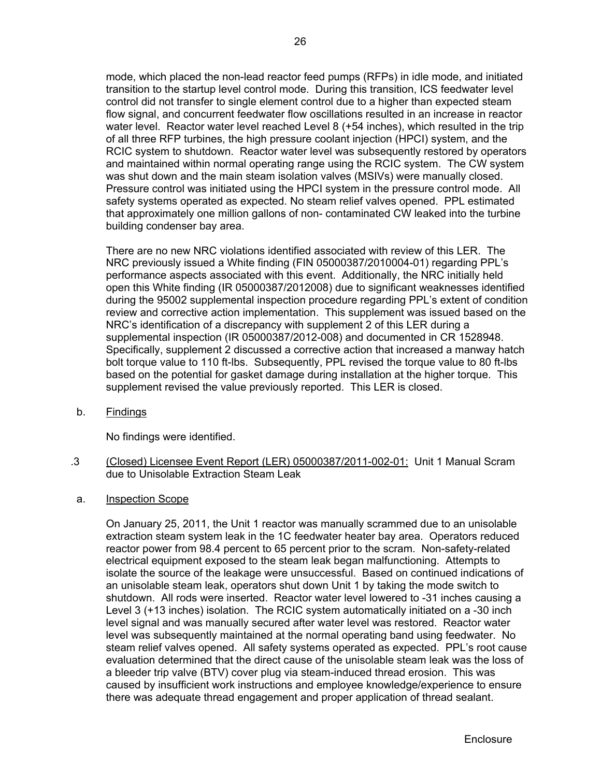mode, which placed the non-lead reactor feed pumps (RFPs) in idle mode, and initiated transition to the startup level control mode. During this transition, ICS feedwater level control did not transfer to single element control due to a higher than expected steam flow signal, and concurrent feedwater flow oscillations resulted in an increase in reactor water level. Reactor water level reached Level 8 (+54 inches), which resulted in the trip of all three RFP turbines, the high pressure coolant injection (HPCI) system, and the RCIC system to shutdown. Reactor water level was subsequently restored by operators and maintained within normal operating range using the RCIC system. The CW system was shut down and the main steam isolation valves (MSIVs) were manually closed. Pressure control was initiated using the HPCI system in the pressure control mode. All safety systems operated as expected. No steam relief valves opened. PPL estimated that approximately one million gallons of non- contaminated CW leaked into the turbine building condenser bay area.

There are no new NRC violations identified associated with review of this LER. The NRC previously issued a White finding (FIN 05000387/2010004-01) regarding PPL's performance aspects associated with this event. Additionally, the NRC initially held open this White finding (IR 05000387/2012008) due to significant weaknesses identified during the 95002 supplemental inspection procedure regarding PPL's extent of condition review and corrective action implementation. This supplement was issued based on the NRC's identification of a discrepancy with supplement 2 of this LER during a supplemental inspection (IR 05000387/2012-008) and documented in CR 1528948. Specifically, supplement 2 discussed a corrective action that increased a manway hatch bolt torque value to 110 ft-lbs. Subsequently, PPL revised the torque value to 80 ft-lbs based on the potential for gasket damage during installation at the higher torque. This supplement revised the value previously reported. This LER is closed.

b. Findings

No findings were identified.

- .3 (Closed) Licensee Event Report (LER) 05000387/2011-002-01: Unit 1 Manual Scram due to Unisolable Extraction Steam Leak
- a. Inspection Scope

On January 25, 2011, the Unit 1 reactor was manually scrammed due to an unisolable extraction steam system leak in the 1C feedwater heater bay area. Operators reduced reactor power from 98.4 percent to 65 percent prior to the scram. Non-safety-related electrical equipment exposed to the steam leak began malfunctioning. Attempts to isolate the source of the leakage were unsuccessful. Based on continued indications of an unisolable steam leak, operators shut down Unit 1 by taking the mode switch to shutdown. All rods were inserted. Reactor water level lowered to -31 inches causing a Level 3 (+13 inches) isolation. The RCIC system automatically initiated on a -30 inch level signal and was manually secured after water level was restored. Reactor water level was subsequently maintained at the normal operating band using feedwater. No steam relief valves opened. All safety systems operated as expected. PPL's root cause evaluation determined that the direct cause of the unisolable steam leak was the loss of a bleeder trip valve (BTV) cover plug via steam-induced thread erosion. This was caused by insufficient work instructions and employee knowledge/experience to ensure there was adequate thread engagement and proper application of thread sealant.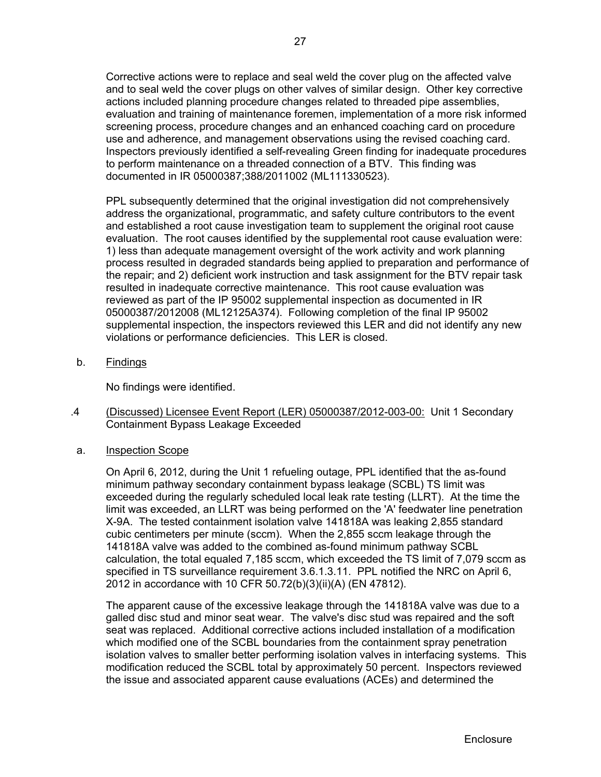Corrective actions were to replace and seal weld the cover plug on the affected valve and to seal weld the cover plugs on other valves of similar design. Other key corrective actions included planning procedure changes related to threaded pipe assemblies, evaluation and training of maintenance foremen, implementation of a more risk informed screening process, procedure changes and an enhanced coaching card on procedure use and adherence, and management observations using the revised coaching card. Inspectors previously identified a self-revealing Green finding for inadequate procedures to perform maintenance on a threaded connection of a BTV. This finding was documented in IR 05000387;388/2011002 (ML111330523).

PPL subsequently determined that the original investigation did not comprehensively address the organizational, programmatic, and safety culture contributors to the event and established a root cause investigation team to supplement the original root cause evaluation. The root causes identified by the supplemental root cause evaluation were: 1) less than adequate management oversight of the work activity and work planning process resulted in degraded standards being applied to preparation and performance of the repair; and 2) deficient work instruction and task assignment for the BTV repair task resulted in inadequate corrective maintenance. This root cause evaluation was reviewed as part of the IP 95002 supplemental inspection as documented in IR 05000387/2012008 (ML12125A374). Following completion of the final IP 95002 supplemental inspection, the inspectors reviewed this LER and did not identify any new violations or performance deficiencies. This LER is closed.

b. Findings

No findings were identified.

- .4 (Discussed) Licensee Event Report (LER) 05000387/2012-003-00: Unit 1 Secondary Containment Bypass Leakage Exceeded
- a. Inspection Scope

On April 6, 2012, during the Unit 1 refueling outage, PPL identified that the as-found minimum pathway secondary containment bypass leakage (SCBL) TS limit was exceeded during the regularly scheduled local leak rate testing (LLRT). At the time the limit was exceeded, an LLRT was being performed on the 'A' feedwater line penetration X-9A. The tested containment isolation valve 141818A was leaking 2,855 standard cubic centimeters per minute (sccm). When the 2,855 sccm leakage through the 141818A valve was added to the combined as-found minimum pathway SCBL calculation, the total equaled 7,185 sccm, which exceeded the TS limit of 7,079 sccm as specified in TS surveillance requirement 3.6.1.3.11. PPL notified the NRC on April 6, 2012 in accordance with 10 CFR 50.72(b)(3)(ii)(A) (EN 47812).

The apparent cause of the excessive leakage through the 141818A valve was due to a galled disc stud and minor seat wear. The valve's disc stud was repaired and the soft seat was replaced. Additional corrective actions included installation of a modification which modified one of the SCBL boundaries from the containment spray penetration isolation valves to smaller better performing isolation valves in interfacing systems. This modification reduced the SCBL total by approximately 50 percent. Inspectors reviewed the issue and associated apparent cause evaluations (ACEs) and determined the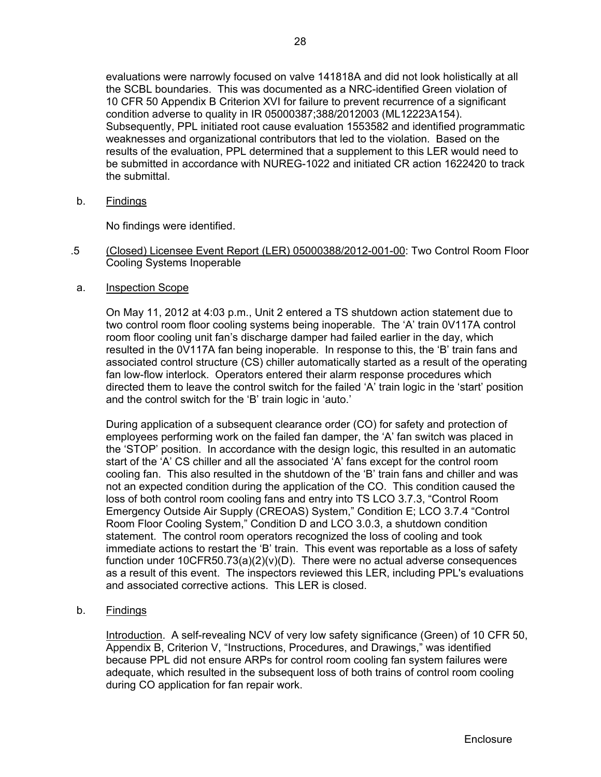evaluations were narrowly focused on valve 141818A and did not look holistically at all the SCBL boundaries. This was documented as a NRC-identified Green violation of 10 CFR 50 Appendix B Criterion XVI for failure to prevent recurrence of a significant condition adverse to quality in IR 05000387;388/2012003 (ML12223A154). Subsequently, PPL initiated root cause evaluation 1553582 and identified programmatic weaknesses and organizational contributors that led to the violation. Based on the results of the evaluation, PPL determined that a supplement to this LER would need to be submitted in accordance with NUREG-1022 and initiated CR action 1622420 to track

b. Findings

No findings were identified.

- .5 (Closed) Licensee Event Report (LER) 05000388/2012-001-00: Two Control Room Floor Cooling Systems Inoperable
- a. Inspection Scope

the submittal.

On May 11, 2012 at 4:03 p.m., Unit 2 entered a TS shutdown action statement due to two control room floor cooling systems being inoperable. The 'A' train 0V117A control room floor cooling unit fan's discharge damper had failed earlier in the day, which resulted in the 0V117A fan being inoperable. In response to this, the 'B' train fans and associated control structure (CS) chiller automatically started as a result of the operating fan low-flow interlock. Operators entered their alarm response procedures which directed them to leave the control switch for the failed 'A' train logic in the 'start' position and the control switch for the 'B' train logic in 'auto.'

During application of a subsequent clearance order (CO) for safety and protection of employees performing work on the failed fan damper, the 'A' fan switch was placed in the 'STOP' position. In accordance with the design logic, this resulted in an automatic start of the 'A' CS chiller and all the associated 'A' fans except for the control room cooling fan. This also resulted in the shutdown of the 'B' train fans and chiller and was not an expected condition during the application of the CO. This condition caused the loss of both control room cooling fans and entry into TS LCO 3.7.3, "Control Room Emergency Outside Air Supply (CREOAS) System," Condition E; LCO 3.7.4 "Control Room Floor Cooling System," Condition D and LCO 3.0.3, a shutdown condition statement. The control room operators recognized the loss of cooling and took immediate actions to restart the 'B' train. This event was reportable as a loss of safety function under  $10CFR50.73(a)(2)(v)(D)$ . There were no actual adverse consequences as a result of this event. The inspectors reviewed this LER, including PPL's evaluations and associated corrective actions. This LER is closed.

b. Findings

Introduction. A self-revealing NCV of very low safety significance (Green) of 10 CFR 50, Appendix B, Criterion V, "Instructions, Procedures, and Drawings," was identified because PPL did not ensure ARPs for control room cooling fan system failures were adequate, which resulted in the subsequent loss of both trains of control room cooling during CO application for fan repair work.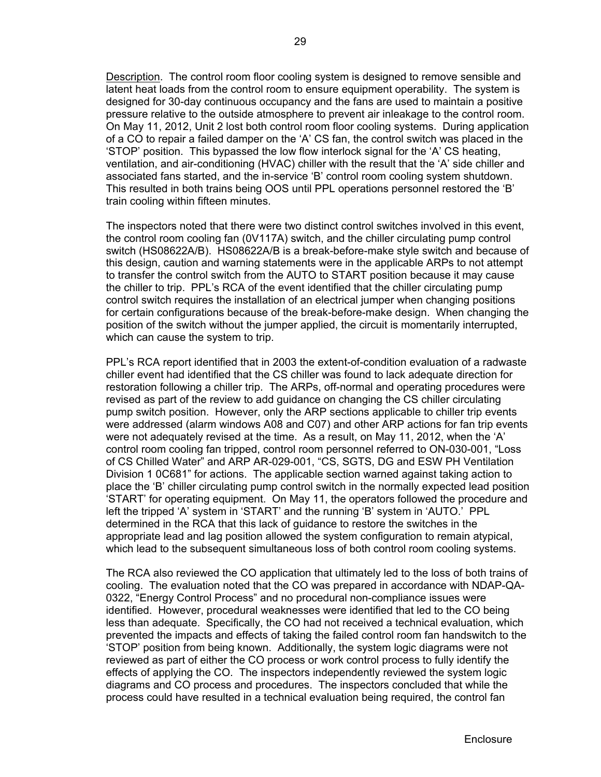Description. The control room floor cooling system is designed to remove sensible and latent heat loads from the control room to ensure equipment operability. The system is designed for 30-day continuous occupancy and the fans are used to maintain a positive pressure relative to the outside atmosphere to prevent air inleakage to the control room. On May 11, 2012, Unit 2 lost both control room floor cooling systems. During application of a CO to repair a failed damper on the 'A' CS fan, the control switch was placed in the 'STOP' position. This bypassed the low flow interlock signal for the 'A' CS heating, ventilation, and air-conditioning (HVAC) chiller with the result that the 'A' side chiller and associated fans started, and the in-service 'B' control room cooling system shutdown. This resulted in both trains being OOS until PPL operations personnel restored the 'B' train cooling within fifteen minutes.

The inspectors noted that there were two distinct control switches involved in this event, the control room cooling fan (0V117A) switch, and the chiller circulating pump control switch (HS08622A/B). HS08622A/B is a break-before-make style switch and because of this design, caution and warning statements were in the applicable ARPs to not attempt to transfer the control switch from the AUTO to START position because it may cause the chiller to trip. PPL's RCA of the event identified that the chiller circulating pump control switch requires the installation of an electrical jumper when changing positions for certain configurations because of the break-before-make design. When changing the position of the switch without the jumper applied, the circuit is momentarily interrupted, which can cause the system to trip.

PPL's RCA report identified that in 2003 the extent-of-condition evaluation of a radwaste chiller event had identified that the CS chiller was found to lack adequate direction for restoration following a chiller trip. The ARPs, off-normal and operating procedures were revised as part of the review to add guidance on changing the CS chiller circulating pump switch position. However, only the ARP sections applicable to chiller trip events were addressed (alarm windows A08 and C07) and other ARP actions for fan trip events were not adequately revised at the time. As a result, on May 11, 2012, when the 'A' control room cooling fan tripped, control room personnel referred to ON-030-001, "Loss of CS Chilled Water" and ARP AR-029-001, "CS, SGTS, DG and ESW PH Ventilation Division 1 0C681" for actions. The applicable section warned against taking action to place the 'B' chiller circulating pump control switch in the normally expected lead position 'START' for operating equipment. On May 11, the operators followed the procedure and left the tripped 'A' system in 'START' and the running 'B' system in 'AUTO.' PPL determined in the RCA that this lack of guidance to restore the switches in the appropriate lead and lag position allowed the system configuration to remain atypical, which lead to the subsequent simultaneous loss of both control room cooling systems.

The RCA also reviewed the CO application that ultimately led to the loss of both trains of cooling. The evaluation noted that the CO was prepared in accordance with NDAP-QA-0322, "Energy Control Process" and no procedural non-compliance issues were identified. However, procedural weaknesses were identified that led to the CO being less than adequate. Specifically, the CO had not received a technical evaluation, which prevented the impacts and effects of taking the failed control room fan handswitch to the 'STOP' position from being known. Additionally, the system logic diagrams were not reviewed as part of either the CO process or work control process to fully identify the effects of applying the CO. The inspectors independently reviewed the system logic diagrams and CO process and procedures. The inspectors concluded that while the process could have resulted in a technical evaluation being required, the control fan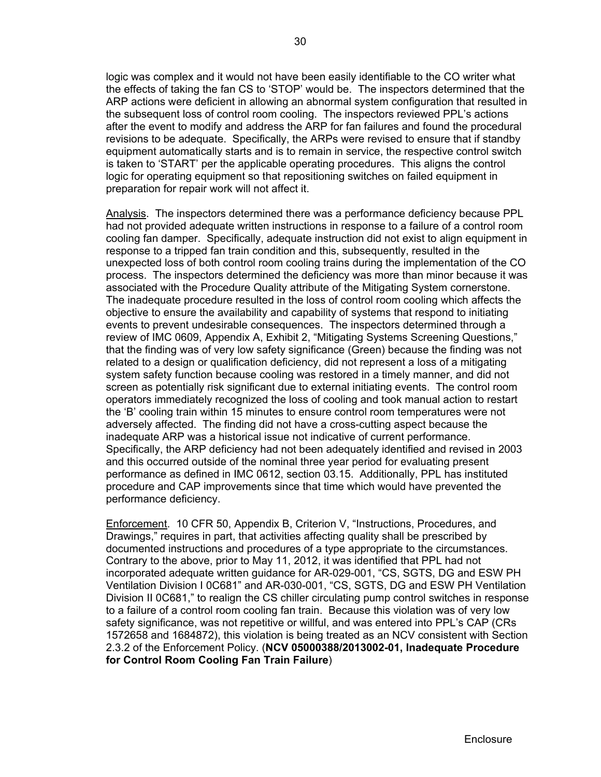equipment automatically starts and is to remain in service, the respective control switch is taken to 'START' per the applicable operating procedures. This aligns the control logic for operating equipment so that repositioning switches on failed equipment in preparation for repair work will not affect it.

Analysis. The inspectors determined there was a performance deficiency because PPL had not provided adequate written instructions in response to a failure of a control room cooling fan damper. Specifically, adequate instruction did not exist to align equipment in response to a tripped fan train condition and this, subsequently, resulted in the unexpected loss of both control room cooling trains during the implementation of the CO process. The inspectors determined the deficiency was more than minor because it was associated with the Procedure Quality attribute of the Mitigating System cornerstone. The inadequate procedure resulted in the loss of control room cooling which affects the objective to ensure the availability and capability of systems that respond to initiating events to prevent undesirable consequences. The inspectors determined through a review of IMC 0609, Appendix A, Exhibit 2, "Mitigating Systems Screening Questions," that the finding was of very low safety significance (Green) because the finding was not related to a design or qualification deficiency, did not represent a loss of a mitigating system safety function because cooling was restored in a timely manner, and did not screen as potentially risk significant due to external initiating events. The control room operators immediately recognized the loss of cooling and took manual action to restart the 'B' cooling train within 15 minutes to ensure control room temperatures were not adversely affected. The finding did not have a cross-cutting aspect because the inadequate ARP was a historical issue not indicative of current performance. Specifically, the ARP deficiency had not been adequately identified and revised in 2003 and this occurred outside of the nominal three year period for evaluating present performance as defined in IMC 0612, section 03.15. Additionally, PPL has instituted procedure and CAP improvements since that time which would have prevented the performance deficiency.

Enforcement. 10 CFR 50, Appendix B, Criterion V, "Instructions, Procedures, and Drawings," requires in part, that activities affecting quality shall be prescribed by documented instructions and procedures of a type appropriate to the circumstances. Contrary to the above, prior to May 11, 2012, it was identified that PPL had not incorporated adequate written guidance for AR-029-001, "CS, SGTS, DG and ESW PH Ventilation Division I 0C681" and AR-030-001, "CS, SGTS, DG and ESW PH Ventilation Division II 0C681," to realign the CS chiller circulating pump control switches in response to a failure of a control room cooling fan train. Because this violation was of very low safety significance, was not repetitive or willful, and was entered into PPL's CAP (CRs 1572658 and 1684872), this violation is being treated as an NCV consistent with Section 2.3.2 of the Enforcement Policy. (**NCV 05000388/2013002-01, Inadequate Procedure for Control Room Cooling Fan Train Failure**)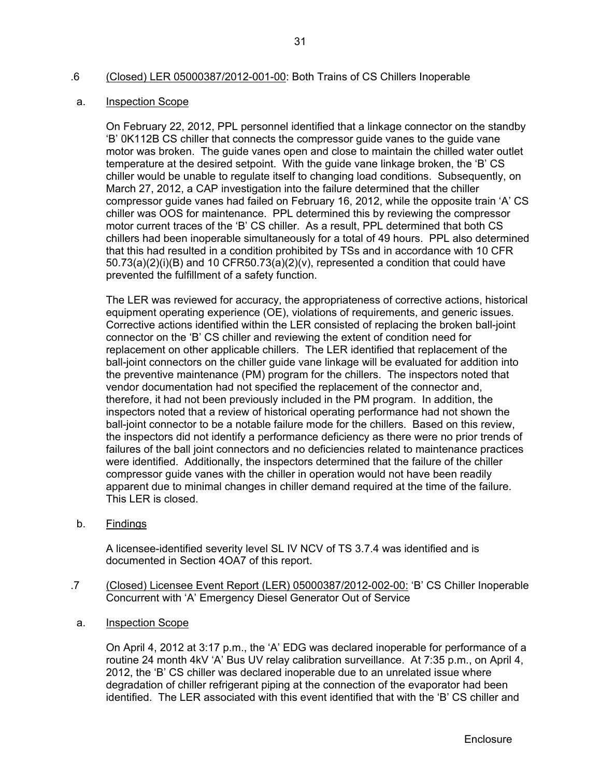# .6 (Closed) LER 05000387/2012-001-00: Both Trains of CS Chillers Inoperable

### a. Inspection Scope

On February 22, 2012, PPL personnel identified that a linkage connector on the standby 'B' 0K112B CS chiller that connects the compressor guide vanes to the guide vane motor was broken. The guide vanes open and close to maintain the chilled water outlet temperature at the desired setpoint. With the guide vane linkage broken, the 'B' CS chiller would be unable to regulate itself to changing load conditions. Subsequently, on March 27, 2012, a CAP investigation into the failure determined that the chiller compressor guide vanes had failed on February 16, 2012, while the opposite train 'A' CS chiller was OOS for maintenance. PPL determined this by reviewing the compressor motor current traces of the 'B' CS chiller. As a result, PPL determined that both CS chillers had been inoperable simultaneously for a total of 49 hours. PPL also determined that this had resulted in a condition prohibited by TSs and in accordance with 10 CFR  $50.73(a)(2)(i)(B)$  and 10 CFR50.73(a)(2)(v), represented a condition that could have prevented the fulfillment of a safety function.

The LER was reviewed for accuracy, the appropriateness of corrective actions, historical equipment operating experience (OE), violations of requirements, and generic issues. Corrective actions identified within the LER consisted of replacing the broken ball-joint connector on the 'B' CS chiller and reviewing the extent of condition need for replacement on other applicable chillers. The LER identified that replacement of the ball-joint connectors on the chiller guide vane linkage will be evaluated for addition into the preventive maintenance (PM) program for the chillers. The inspectors noted that vendor documentation had not specified the replacement of the connector and, therefore, it had not been previously included in the PM program. In addition, the inspectors noted that a review of historical operating performance had not shown the ball-joint connector to be a notable failure mode for the chillers. Based on this review, the inspectors did not identify a performance deficiency as there were no prior trends of failures of the ball joint connectors and no deficiencies related to maintenance practices were identified. Additionally, the inspectors determined that the failure of the chiller compressor guide vanes with the chiller in operation would not have been readily apparent due to minimal changes in chiller demand required at the time of the failure. This LER is closed.

b. Findings

A licensee-identified severity level SL IV NCV of TS 3.7.4 was identified and is documented in Section 4OA7 of this report.

- .7 (Closed) Licensee Event Report (LER) 05000387/2012-002-00: 'B' CS Chiller Inoperable Concurrent with 'A' Emergency Diesel Generator Out of Service
- a. Inspection Scope

On April 4, 2012 at 3:17 p.m., the 'A' EDG was declared inoperable for performance of a routine 24 month 4kV 'A' Bus UV relay calibration surveillance. At 7:35 p.m., on April 4, 2012, the 'B' CS chiller was declared inoperable due to an unrelated issue where degradation of chiller refrigerant piping at the connection of the evaporator had been identified. The LER associated with this event identified that with the 'B' CS chiller and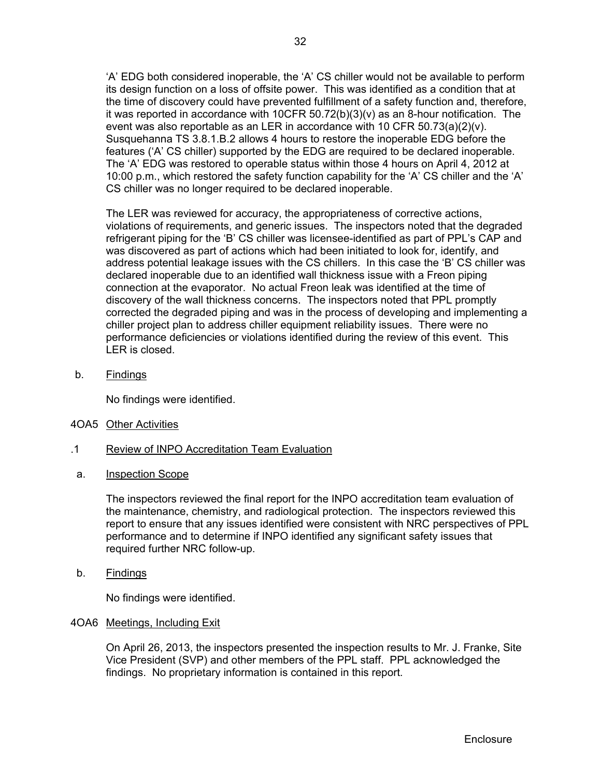'A' EDG both considered inoperable, the 'A' CS chiller would not be available to perform its design function on a loss of offsite power. This was identified as a condition that at the time of discovery could have prevented fulfillment of a safety function and, therefore, it was reported in accordance with  $10CFR 50.72(b)(3)(v)$  as an 8-hour notification. The event was also reportable as an LER in accordance with 10 CFR 50.73(a)(2)(v). Susquehanna TS 3.8.1.B.2 allows 4 hours to restore the inoperable EDG before the features ('A' CS chiller) supported by the EDG are required to be declared inoperable. The 'A' EDG was restored to operable status within those 4 hours on April 4, 2012 at 10:00 p.m., which restored the safety function capability for the 'A' CS chiller and the 'A' CS chiller was no longer required to be declared inoperable.

The LER was reviewed for accuracy, the appropriateness of corrective actions, violations of requirements, and generic issues. The inspectors noted that the degraded refrigerant piping for the 'B' CS chiller was licensee-identified as part of PPL's CAP and was discovered as part of actions which had been initiated to look for, identify, and address potential leakage issues with the CS chillers. In this case the 'B' CS chiller was declared inoperable due to an identified wall thickness issue with a Freon piping connection at the evaporator. No actual Freon leak was identified at the time of discovery of the wall thickness concerns. The inspectors noted that PPL promptly corrected the degraded piping and was in the process of developing and implementing a chiller project plan to address chiller equipment reliability issues. There were no performance deficiencies or violations identified during the review of this event. This LER is closed.

b. Findings

No findings were identified.

- 4OA5 Other Activities
- .1 Review of INPO Accreditation Team Evaluation
- a. Inspection Scope

The inspectors reviewed the final report for the INPO accreditation team evaluation of the maintenance, chemistry, and radiological protection. The inspectors reviewed this report to ensure that any issues identified were consistent with NRC perspectives of PPL performance and to determine if INPO identified any significant safety issues that required further NRC follow-up.

b. Findings

No findings were identified.

# 4OA6 Meetings, Including Exit

On April 26, 2013, the inspectors presented the inspection results to Mr. J. Franke, Site Vice President (SVP) and other members of the PPL staff. PPL acknowledged the findings. No proprietary information is contained in this report.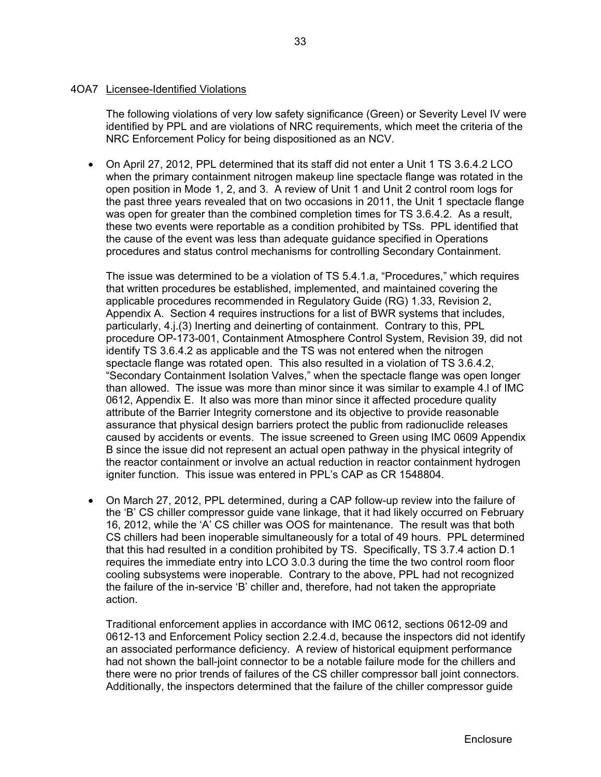# 4OA7 Licensee-Identified Violations

The following violations of very low safety significance (Green) or Severity Level IV were identified by PPL and are violations of NRC requirements, which meet the criteria of the NRC Enforcement Policy for being dispositioned as an NCV.

 On April 27, 2012, PPL determined that its staff did not enter a Unit 1 TS 3.6.4.2 LCO when the primary containment nitrogen makeup line spectacle flange was rotated in the open position in Mode 1, 2, and 3. A review of Unit 1 and Unit 2 control room logs for the past three years revealed that on two occasions in 2011, the Unit 1 spectacle flange was open for greater than the combined completion times for TS 3.6.4.2. As a result, these two events were reportable as a condition prohibited by TSs. PPL identified that the cause of the event was less than adequate guidance specified in Operations procedures and status control mechanisms for controlling Secondary Containment.

The issue was determined to be a violation of TS 5.4.1.a, "Procedures," which requires that written procedures be established, implemented, and maintained covering the applicable procedures recommended in Regulatory Guide (RG) 1.33, Revision 2, Appendix A. Section 4 requires instructions for a list of BWR systems that includes, particularly, 4.j.(3) Inerting and deinerting of containment. Contrary to this, PPL procedure OP-173-001, Containment Atmosphere Control System, Revision 39, did not identify TS 3.6.4.2 as applicable and the TS was not entered when the nitrogen spectacle flange was rotated open. This also resulted in a violation of TS 3.6.4.2, "Secondary Containment Isolation Valves," when the spectacle flange was open longer than allowed. The issue was more than minor since it was similar to example 4.l of IMC 0612, Appendix E. It also was more than minor since it affected procedure quality attribute of the Barrier Integrity cornerstone and its objective to provide reasonable assurance that physical design barriers protect the public from radionuclide releases caused by accidents or events. The issue screened to Green using IMC 0609 Appendix B since the issue did not represent an actual open pathway in the physical integrity of the reactor containment or involve an actual reduction in reactor containment hydrogen igniter function. This issue was entered in PPL's CAP as CR 1548804.

 On March 27, 2012, PPL determined, during a CAP follow-up review into the failure of the 'B' CS chiller compressor guide vane linkage, that it had likely occurred on February 16, 2012, while the 'A' CS chiller was OOS for maintenance. The result was that both CS chillers had been inoperable simultaneously for a total of 49 hours. PPL determined that this had resulted in a condition prohibited by TS. Specifically, TS 3.7.4 action D.1 requires the immediate entry into LCO 3.0.3 during the time the two control room floor cooling subsystems were inoperable. Contrary to the above, PPL had not recognized the failure of the in-service 'B' chiller and, therefore, had not taken the appropriate action.

Traditional enforcement applies in accordance with IMC 0612, sections 0612-09 and 0612-13 and Enforcement Policy section 2.2.4.d, because the inspectors did not identify an associated performance deficiency. A review of historical equipment performance had not shown the ball-joint connector to be a notable failure mode for the chillers and there were no prior trends of failures of the CS chiller compressor ball joint connectors. Additionally, the inspectors determined that the failure of the chiller compressor guide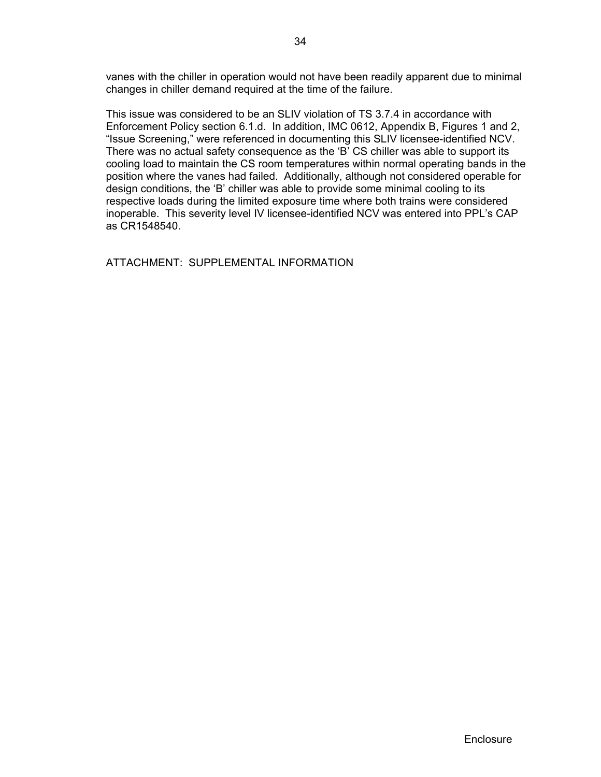vanes with the chiller in operation would not have been readily apparent due to minimal changes in chiller demand required at the time of the failure.

This issue was considered to be an SLIV violation of TS 3.7.4 in accordance with Enforcement Policy section 6.1.d. In addition, IMC 0612, Appendix B, Figures 1 and 2, "Issue Screening," were referenced in documenting this SLIV licensee-identified NCV. There was no actual safety consequence as the 'B' CS chiller was able to support its cooling load to maintain the CS room temperatures within normal operating bands in the position where the vanes had failed. Additionally, although not considered operable for design conditions, the 'B' chiller was able to provide some minimal cooling to its respective loads during the limited exposure time where both trains were considered inoperable. This severity level IV licensee-identified NCV was entered into PPL's CAP as CR1548540.

ATTACHMENT: SUPPLEMENTAL INFORMATION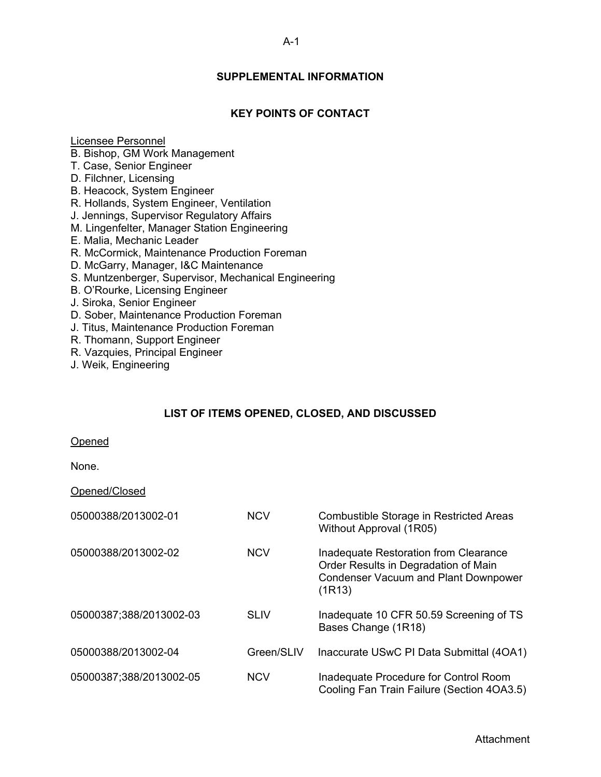# **SUPPLEMENTAL INFORMATION**

# **KEY POINTS OF CONTACT**

#### Licensee Personnel

- B. Bishop, GM Work Management
- T. Case, Senior Engineer
- D. Filchner, Licensing
- B. Heacock, System Engineer
- R. Hollands, System Engineer, Ventilation
- J. Jennings, Supervisor Regulatory Affairs
- M. Lingenfelter, Manager Station Engineering
- E. Malia, Mechanic Leader
- R. McCormick, Maintenance Production Foreman
- D. McGarry, Manager, I&C Maintenance
- S. Muntzenberger, Supervisor, Mechanical Engineering
- B. O'Rourke, Licensing Engineer
- J. Siroka, Senior Engineer
- D. Sober, Maintenance Production Foreman
- J. Titus, Maintenance Production Foreman
- R. Thomann, Support Engineer
- R. Vazquies, Principal Engineer
- J. Weik, Engineering

# **LIST OF ITEMS OPENED, CLOSED, AND DISCUSSED**

#### Opened

None.

# Opened/Closed

| 05000388/2013002-01     | <b>NCV</b>  | Combustible Storage in Restricted Areas<br>Without Approval (1R05)                                                                     |
|-------------------------|-------------|----------------------------------------------------------------------------------------------------------------------------------------|
| 05000388/2013002-02     | <b>NCV</b>  | Inadequate Restoration from Clearance<br>Order Results in Degradation of Main<br><b>Condenser Vacuum and Plant Downpower</b><br>(1R13) |
| 05000387;388/2013002-03 | <b>SLIV</b> | Inadequate 10 CFR 50.59 Screening of TS<br>Bases Change (1R18)                                                                         |
| 05000388/2013002-04     | Green/SLIV  | Inaccurate USwC PI Data Submittal (4OA1)                                                                                               |
| 05000387;388/2013002-05 | <b>NCV</b>  | Inadequate Procedure for Control Room<br>Cooling Fan Train Failure (Section 40A3.5)                                                    |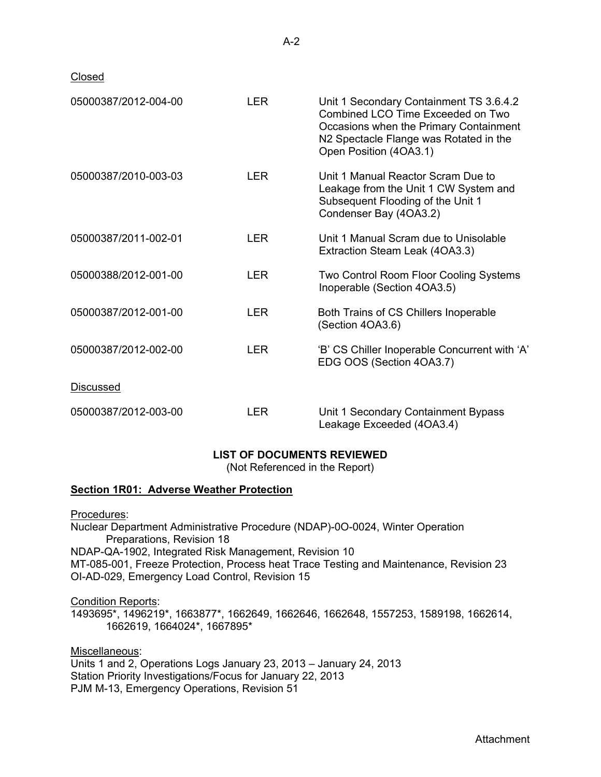Closed

| 05000387/2012-004-00 | <b>LER</b> | Unit 1 Secondary Containment TS 3.6.4.2<br>Combined LCO Time Exceeded on Two<br>Occasions when the Primary Containment<br>N2 Spectacle Flange was Rotated in the<br>Open Position (4OA3.1) |
|----------------------|------------|--------------------------------------------------------------------------------------------------------------------------------------------------------------------------------------------|
| 05000387/2010-003-03 | <b>LER</b> | Unit 1 Manual Reactor Scram Due to<br>Leakage from the Unit 1 CW System and<br>Subsequent Flooding of the Unit 1<br>Condenser Bay (4OA3.2)                                                 |
| 05000387/2011-002-01 | <b>LER</b> | Unit 1 Manual Scram due to Unisolable<br>Extraction Steam Leak (4OA3.3)                                                                                                                    |
| 05000388/2012-001-00 | <b>LER</b> | Two Control Room Floor Cooling Systems<br>Inoperable (Section 4OA3.5)                                                                                                                      |
| 05000387/2012-001-00 | <b>LER</b> | Both Trains of CS Chillers Inoperable<br>(Section 4OA3.6)                                                                                                                                  |
| 05000387/2012-002-00 | LER.       | 'B' CS Chiller Inoperable Concurrent with 'A'<br>EDG OOS (Section 4OA3.7)                                                                                                                  |
| <b>Discussed</b>     |            |                                                                                                                                                                                            |
| 05000387/2012-003-00 | LER.       | Unit 1 Secondary Containment Bypass<br>Leakage Exceeded (4OA3.4)                                                                                                                           |

# **LIST OF DOCUMENTS REVIEWED**

(Not Referenced in the Report)

# **Section 1R01: Adverse Weather Protection**

Procedures: Nuclear Department Administrative Procedure (NDAP)-0O-0024, Winter Operation Preparations, Revision 18 NDAP-QA-1902, Integrated Risk Management, Revision 10 MT-085-001, Freeze Protection, Process heat Trace Testing and Maintenance, Revision 23 OI-AD-029, Emergency Load Control, Revision 15

Condition Reports:

1493695\*, 1496219\*, 1663877\*, 1662649, 1662646, 1662648, 1557253, 1589198, 1662614, 1662619, 1664024\*, 1667895\*

Miscellaneous: Units 1 and 2, Operations Logs January 23, 2013 – January 24, 2013 Station Priority Investigations/Focus for January 22, 2013 PJM M-13, Emergency Operations, Revision 51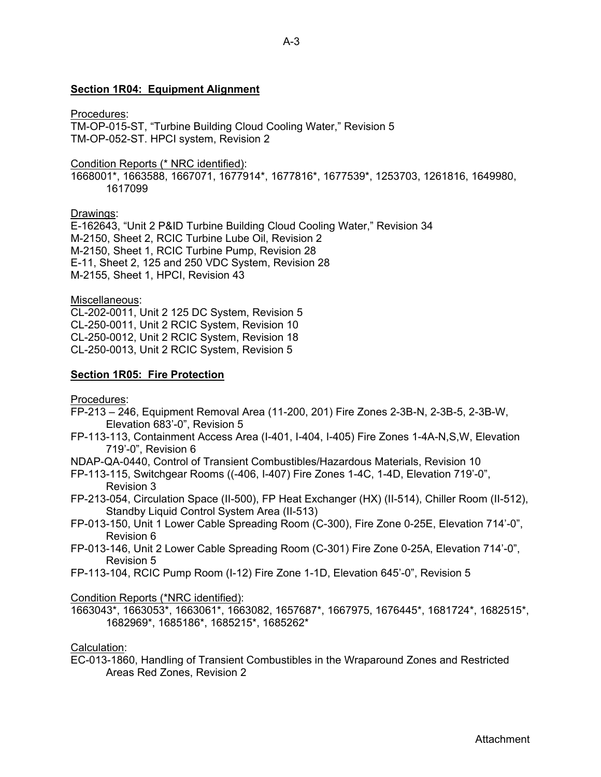### **Section 1R04: Equipment Alignment**

#### Procedures:

TM-OP-015-ST, "Turbine Building Cloud Cooling Water," Revision 5 TM-OP-052-ST. HPCI system, Revision 2

#### Condition Reports (\* NRC identified):

1668001\*, 1663588, 1667071, 1677914\*, 1677816\*, 1677539\*, 1253703, 1261816, 1649980, 1617099

#### Drawings:

E-162643, "Unit 2 P&ID Turbine Building Cloud Cooling Water," Revision 34 M-2150, Sheet 2, RCIC Turbine Lube Oil, Revision 2 M-2150, Sheet 1, RCIC Turbine Pump, Revision 28 E-11, Sheet 2, 125 and 250 VDC System, Revision 28 M-2155, Sheet 1, HPCI, Revision 43

#### Miscellaneous:

CL-202-0011, Unit 2 125 DC System, Revision 5 CL-250-0011, Unit 2 RCIC System, Revision 10 CL-250-0012, Unit 2 RCIC System, Revision 18 CL-250-0013, Unit 2 RCIC System, Revision 5

#### **Section 1R05: Fire Protection**

Procedures:

- FP-213 246, Equipment Removal Area (11-200, 201) Fire Zones 2-3B-N, 2-3B-5, 2-3B-W, Elevation 683'-0", Revision 5
- FP-113-113, Containment Access Area (I-401, I-404, I-405) Fire Zones 1-4A-N,S,W, Elevation 719'-0", Revision 6
- NDAP-QA-0440, Control of Transient Combustibles/Hazardous Materials, Revision 10
- FP-113-115, Switchgear Rooms ((-406, I-407) Fire Zones 1-4C, 1-4D, Elevation 719'-0", Revision 3
- FP-213-054, Circulation Space (II-500), FP Heat Exchanger (HX) (II-514), Chiller Room (II-512), Standby Liquid Control System Area (II-513)
- FP-013-150, Unit 1 Lower Cable Spreading Room (C-300), Fire Zone 0-25E, Elevation 714'-0", Revision 6
- FP-013-146, Unit 2 Lower Cable Spreading Room (C-301) Fire Zone 0-25A, Elevation 714'-0", Revision 5
- FP-113-104, RCIC Pump Room (I-12) Fire Zone 1-1D, Elevation 645'-0", Revision 5

Condition Reports (\*NRC identified):

1663043\*, 1663053\*, 1663061\*, 1663082, 1657687\*, 1667975, 1676445\*, 1681724\*, 1682515\*, 1682969\*, 1685186\*, 1685215\*, 1685262\*

Calculation:

EC-013-1860, Handling of Transient Combustibles in the Wraparound Zones and Restricted Areas Red Zones, Revision 2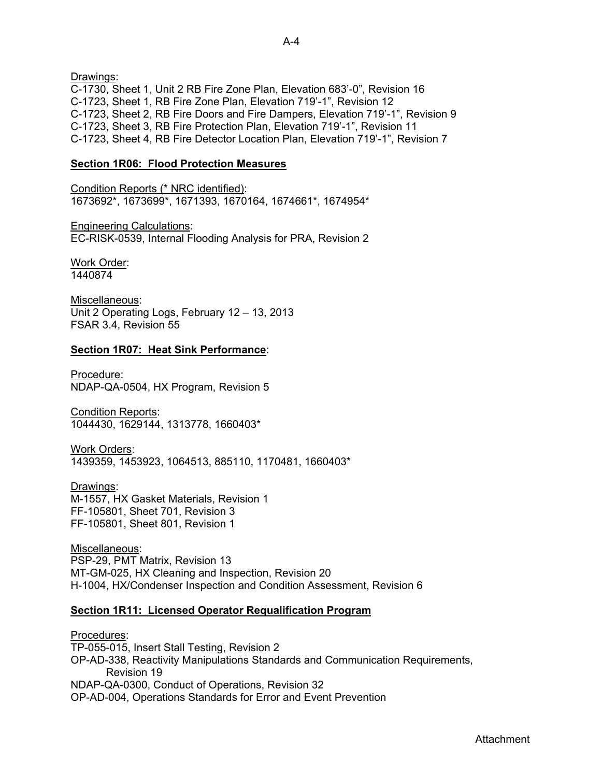Drawings: C-1730, Sheet 1, Unit 2 RB Fire Zone Plan, Elevation 683'-0", Revision 16 C-1723, Sheet 1, RB Fire Zone Plan, Elevation 719'-1", Revision 12 C-1723, Sheet 2, RB Fire Doors and Fire Dampers, Elevation 719'-1", Revision 9 C-1723, Sheet 3, RB Fire Protection Plan, Elevation 719'-1", Revision 11 C-1723, Sheet 4, RB Fire Detector Location Plan, Elevation 719'-1", Revision 7

# **Section 1R06: Flood Protection Measures**

Condition Reports (\* NRC identified): 1673692\*, 1673699\*, 1671393, 1670164, 1674661\*, 1674954\*

Engineering Calculations: EC-RISK-0539, Internal Flooding Analysis for PRA, Revision 2

Work Order: 1440874

Miscellaneous: Unit 2 Operating Logs, February 12 – 13, 2013 FSAR 3.4, Revision 55

# **Section 1R07: Heat Sink Performance**:

Procedure: NDAP-QA-0504, HX Program, Revision 5

Condition Reports: 1044430, 1629144, 1313778, 1660403\*

Work Orders: 1439359, 1453923, 1064513, 885110, 1170481, 1660403\*

Drawings: M-1557, HX Gasket Materials, Revision 1 FF-105801, Sheet 701, Revision 3 FF-105801, Sheet 801, Revision 1

Miscellaneous: PSP-29, PMT Matrix, Revision 13 MT-GM-025, HX Cleaning and Inspection, Revision 20 H-1004, HX/Condenser Inspection and Condition Assessment, Revision 6

# **Section 1R11: Licensed Operator Requalification Program**

Procedures: TP-055-015, Insert Stall Testing, Revision 2 OP-AD-338, Reactivity Manipulations Standards and Communication Requirements, Revision 19 NDAP-QA-0300, Conduct of Operations, Revision 32 OP-AD-004, Operations Standards for Error and Event Prevention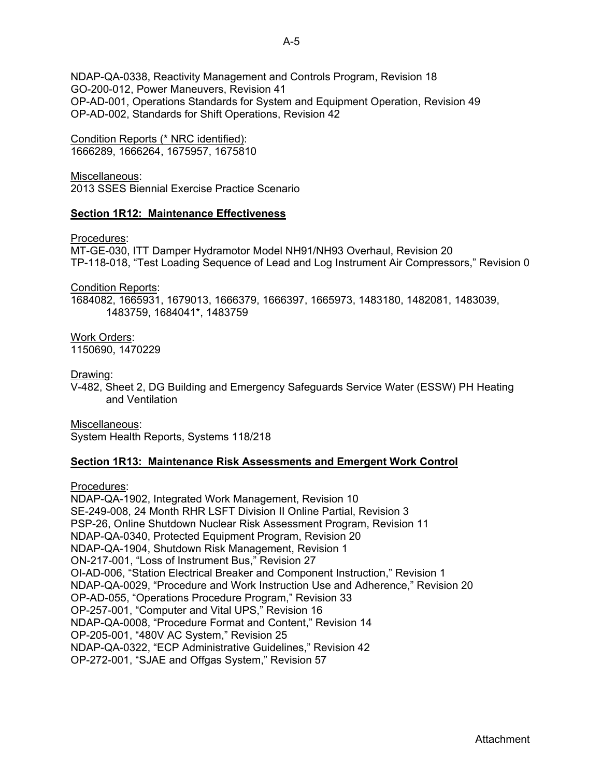NDAP-QA-0338, Reactivity Management and Controls Program, Revision 18 GO-200-012, Power Maneuvers, Revision 41 OP-AD-001, Operations Standards for System and Equipment Operation, Revision 49 OP-AD-002, Standards for Shift Operations, Revision 42

Condition Reports (\* NRC identified): 1666289, 1666264, 1675957, 1675810

Miscellaneous: 2013 SSES Biennial Exercise Practice Scenario

# **Section 1R12: Maintenance Effectiveness**

Procedures:

MT-GE-030, ITT Damper Hydramotor Model NH91/NH93 Overhaul, Revision 20 TP-118-018, "Test Loading Sequence of Lead and Log Instrument Air Compressors," Revision 0

Condition Reports:

1684082, 1665931, 1679013, 1666379, 1666397, 1665973, 1483180, 1482081, 1483039, 1483759, 1684041\*, 1483759

Work Orders: 1150690, 1470229

Drawing:

V-482, Sheet 2, DG Building and Emergency Safeguards Service Water (ESSW) PH Heating and Ventilation

Miscellaneous: System Health Reports, Systems 118/218

# **Section 1R13: Maintenance Risk Assessments and Emergent Work Control**

Procedures:

NDAP-QA-1902, Integrated Work Management, Revision 10 SE-249-008, 24 Month RHR LSFT Division II Online Partial, Revision 3 PSP-26, Online Shutdown Nuclear Risk Assessment Program, Revision 11 NDAP-QA-0340, Protected Equipment Program, Revision 20 NDAP-QA-1904, Shutdown Risk Management, Revision 1 ON-217-001, "Loss of Instrument Bus," Revision 27 OI-AD-006, "Station Electrical Breaker and Component Instruction," Revision 1 NDAP-QA-0029, "Procedure and Work Instruction Use and Adherence," Revision 20 OP-AD-055, "Operations Procedure Program," Revision 33 OP-257-001, "Computer and Vital UPS," Revision 16 NDAP-QA-0008, "Procedure Format and Content," Revision 14 OP-205-001, "480V AC System," Revision 25 NDAP-QA-0322, "ECP Administrative Guidelines," Revision 42 OP-272-001, "SJAE and Offgas System," Revision 57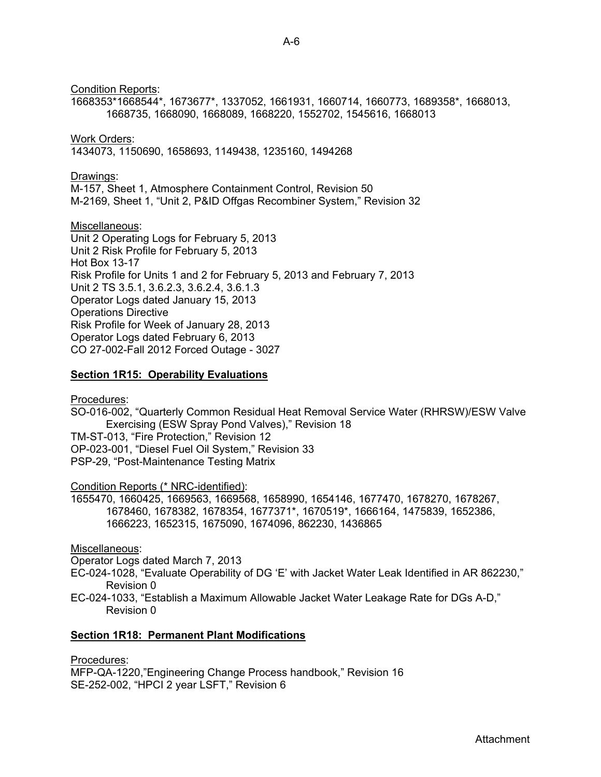Condition Reports:

1668353\*1668544\*, 1673677\*, 1337052, 1661931, 1660714, 1660773, 1689358\*, 1668013, 1668735, 1668090, 1668089, 1668220, 1552702, 1545616, 1668013

# Work Orders:

1434073, 1150690, 1658693, 1149438, 1235160, 1494268

### Drawings:

M-157, Sheet 1, Atmosphere Containment Control, Revision 50 M-2169, Sheet 1, "Unit 2, P&ID Offgas Recombiner System," Revision 32

Miscellaneous: Unit 2 Operating Logs for February 5, 2013 Unit 2 Risk Profile for February 5, 2013 Hot Box 13-17 Risk Profile for Units 1 and 2 for February 5, 2013 and February 7, 2013 Unit 2 TS 3.5.1, 3.6.2.3, 3.6.2.4, 3.6.1.3 Operator Logs dated January 15, 2013 Operations Directive Risk Profile for Week of January 28, 2013 Operator Logs dated February 6, 2013 CO 27-002-Fall 2012 Forced Outage - 3027

# **Section 1R15: Operability Evaluations**

Procedures:

SO-016-002, "Quarterly Common Residual Heat Removal Service Water (RHRSW)/ESW Valve Exercising (ESW Spray Pond Valves)," Revision 18 TM-ST-013, "Fire Protection," Revision 12 OP-023-001, "Diesel Fuel Oil System," Revision 33

PSP-29, "Post-Maintenance Testing Matrix

# Condition Reports (\* NRC-identified):

1655470, 1660425, 1669563, 1669568, 1658990, 1654146, 1677470, 1678270, 1678267, 1678460, 1678382, 1678354, 1677371\*, 1670519\*, 1666164, 1475839, 1652386, 1666223, 1652315, 1675090, 1674096, 862230, 1436865

Miscellaneous:

Operator Logs dated March 7, 2013

EC-024-1028, "Evaluate Operability of DG 'E' with Jacket Water Leak Identified in AR 862230," Revision 0

EC-024-1033, "Establish a Maximum Allowable Jacket Water Leakage Rate for DGs A-D," Revision 0

# **Section 1R18: Permanent Plant Modifications**

Procedures:

MFP-QA-1220,"Engineering Change Process handbook," Revision 16 SE-252-002, "HPCI 2 year LSFT," Revision 6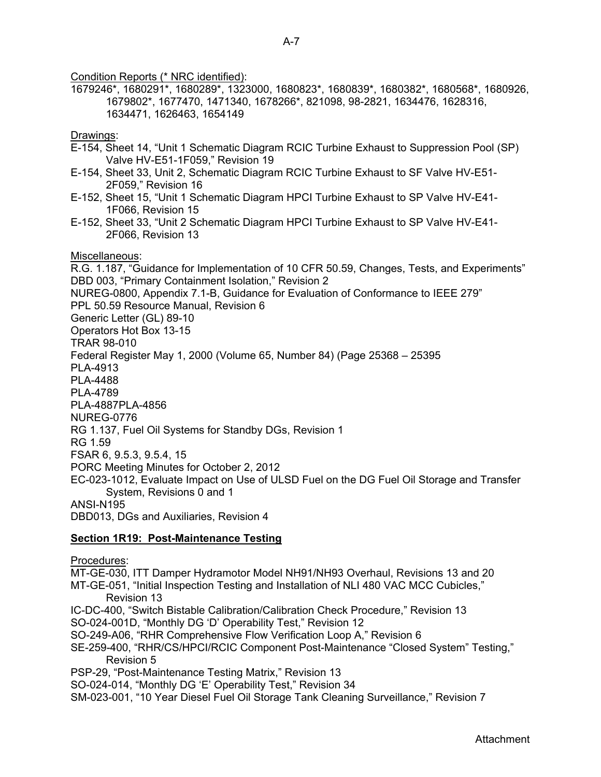Condition Reports (\* NRC identified):

1679246\*, 1680291\*, 1680289\*, 1323000, 1680823\*, 1680839\*, 1680382\*, 1680568\*, 1680926, 1679802\*, 1677470, 1471340, 1678266\*, 821098, 98-2821, 1634476, 1628316, 1634471, 1626463, 1654149

# Drawings:

- E-154, Sheet 14, "Unit 1 Schematic Diagram RCIC Turbine Exhaust to Suppression Pool (SP) Valve HV-E51-1F059," Revision 19
- E-154, Sheet 33, Unit 2, Schematic Diagram RCIC Turbine Exhaust to SF Valve HV-E51- 2F059," Revision 16
- E-152, Sheet 15, "Unit 1 Schematic Diagram HPCI Turbine Exhaust to SP Valve HV-E41- 1F066, Revision 15
- E-152, Sheet 33, "Unit 2 Schematic Diagram HPCI Turbine Exhaust to SP Valve HV-E41- 2F066, Revision 13

# Miscellaneous:

R.G. 1.187, "Guidance for Implementation of 10 CFR 50.59, Changes, Tests, and Experiments" DBD 003, "Primary Containment Isolation," Revision 2 NUREG-0800, Appendix 7.1-B, Guidance for Evaluation of Conformance to IEEE 279" PPL 50.59 Resource Manual, Revision 6 Generic Letter (GL) 89-10 Operators Hot Box 13-15 TRAR 98-010 Federal Register May 1, 2000 (Volume 65, Number 84) (Page 25368 – 25395 PLA-4913 PLA-4488 PLA-4789 PLA-4887PLA-4856 NUREG-0776 RG 1.137, Fuel Oil Systems for Standby DGs, Revision 1 RG 1.59 FSAR 6, 9.5.3, 9.5.4, 15 PORC Meeting Minutes for October 2, 2012 EC-023-1012, Evaluate Impact on Use of ULSD Fuel on the DG Fuel Oil Storage and Transfer System, Revisions 0 and 1 ANSI-N195 DBD013, DGs and Auxiliaries, Revision 4

# **Section 1R19: Post-Maintenance Testing**

Procedures:

MT-GE-030, ITT Damper Hydramotor Model NH91/NH93 Overhaul, Revisions 13 and 20 MT-GE-051, "Initial Inspection Testing and Installation of NLI 480 VAC MCC Cubicles," Revision 13 IC-DC-400, "Switch Bistable Calibration/Calibration Check Procedure," Revision 13 SO-024-001D, "Monthly DG 'D' Operability Test," Revision 12 SO-249-A06, "RHR Comprehensive Flow Verification Loop A," Revision 6 SE-259-400, "RHR/CS/HPCI/RCIC Component Post-Maintenance "Closed System" Testing," Revision 5 PSP-29, "Post-Maintenance Testing Matrix," Revision 13 SO-024-014, "Monthly DG 'E' Operability Test," Revision 34

SM-023-001, "10 Year Diesel Fuel Oil Storage Tank Cleaning Surveillance," Revision 7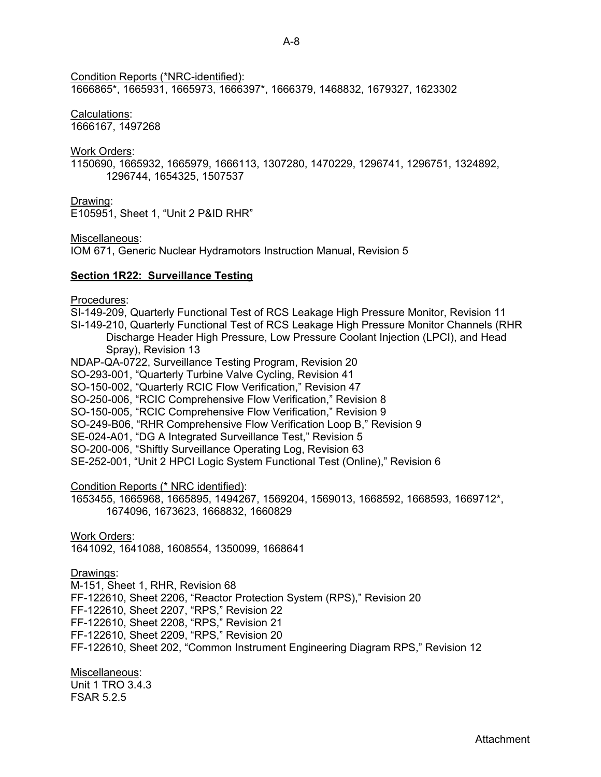Condition Reports (\*NRC-identified):

1666865\*, 1665931, 1665973, 1666397\*, 1666379, 1468832, 1679327, 1623302

# Calculations:

1666167, 1497268

### Work Orders:

1150690, 1665932, 1665979, 1666113, 1307280, 1470229, 1296741, 1296751, 1324892, 1296744, 1654325, 1507537

Drawing:

E105951, Sheet 1, "Unit 2 P&ID RHR"

Miscellaneous:

IOM 671, Generic Nuclear Hydramotors Instruction Manual, Revision 5

# **Section 1R22: Surveillance Testing**

Procedures:

SI-149-209, Quarterly Functional Test of RCS Leakage High Pressure Monitor, Revision 11 SI-149-210, Quarterly Functional Test of RCS Leakage High Pressure Monitor Channels (RHR Discharge Header High Pressure, Low Pressure Coolant Injection (LPCI), and Head Spray), Revision 13

NDAP-QA-0722, Surveillance Testing Program, Revision 20

SO-293-001, "Quarterly Turbine Valve Cycling, Revision 41

SO-150-002, "Quarterly RCIC Flow Verification," Revision 47

SO-250-006, "RCIC Comprehensive Flow Verification," Revision 8

SO-150-005, "RCIC Comprehensive Flow Verification," Revision 9

SO-249-B06, "RHR Comprehensive Flow Verification Loop B," Revision 9

SE-024-A01, "DG A Integrated Surveillance Test," Revision 5

SO-200-006, "Shiftly Surveillance Operating Log, Revision 63

SE-252-001, "Unit 2 HPCI Logic System Functional Test (Online)," Revision 6

Condition Reports (\* NRC identified):

1653455, 1665968, 1665895, 1494267, 1569204, 1569013, 1668592, 1668593, 1669712\*, 1674096, 1673623, 1668832, 1660829

Work Orders:

1641092, 1641088, 1608554, 1350099, 1668641

Drawings:

M-151, Sheet 1, RHR, Revision 68 FF-122610, Sheet 2206, "Reactor Protection System (RPS)," Revision 20 FF-122610, Sheet 2207, "RPS," Revision 22 FF-122610, Sheet 2208, "RPS," Revision 21 FF-122610, Sheet 2209, "RPS," Revision 20 FF-122610, Sheet 202, "Common Instrument Engineering Diagram RPS," Revision 12

Miscellaneous: Unit 1 TRO 3.4.3 FSAR 5.2.5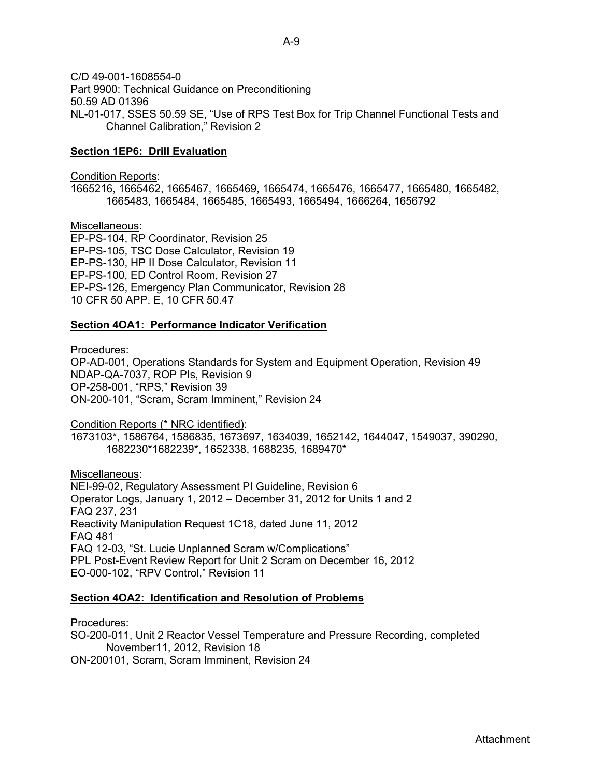C/D 49-001-1608554-0 Part 9900: Technical Guidance on Preconditioning 50.59 AD 01396 NL-01-017, SSES 50.59 SE, "Use of RPS Test Box for Trip Channel Functional Tests and Channel Calibration," Revision 2

### **Section 1EP6: Drill Evaluation**

#### Condition Reports:

1665216, 1665462, 1665467, 1665469, 1665474, 1665476, 1665477, 1665480, 1665482, 1665483, 1665484, 1665485, 1665493, 1665494, 1666264, 1656792

Miscellaneous:

EP-PS-104, RP Coordinator, Revision 25 EP-PS-105, TSC Dose Calculator, Revision 19 EP-PS-130, HP II Dose Calculator, Revision 11 EP-PS-100, ED Control Room, Revision 27 EP-PS-126, Emergency Plan Communicator, Revision 28 10 CFR 50 APP. E, 10 CFR 50.47

#### **Section 4OA1: Performance Indicator Verification**

#### Procedures:

OP-AD-001, Operations Standards for System and Equipment Operation, Revision 49 NDAP-QA-7037, ROP PIs, Revision 9 OP-258-001, "RPS," Revision 39 ON-200-101, "Scram, Scram Imminent," Revision 24

Condition Reports (\* NRC identified):

1673103\*, 1586764, 1586835, 1673697, 1634039, 1652142, 1644047, 1549037, 390290, 1682230\*1682239\*, 1652338, 1688235, 1689470\*

Miscellaneous: NEI-99-02, Regulatory Assessment PI Guideline, Revision 6 Operator Logs, January 1, 2012 – December 31, 2012 for Units 1 and 2 FAQ 237, 231 Reactivity Manipulation Request 1C18, dated June 11, 2012 FAQ 481 FAQ 12-03, "St. Lucie Unplanned Scram w/Complications" PPL Post-Event Review Report for Unit 2 Scram on December 16, 2012 EO-000-102, "RPV Control," Revision 11

#### **Section 4OA2: Identification and Resolution of Problems**

Procedures:

SO-200-011, Unit 2 Reactor Vessel Temperature and Pressure Recording, completed November11, 2012, Revision 18 ON-200101, Scram, Scram Imminent, Revision 24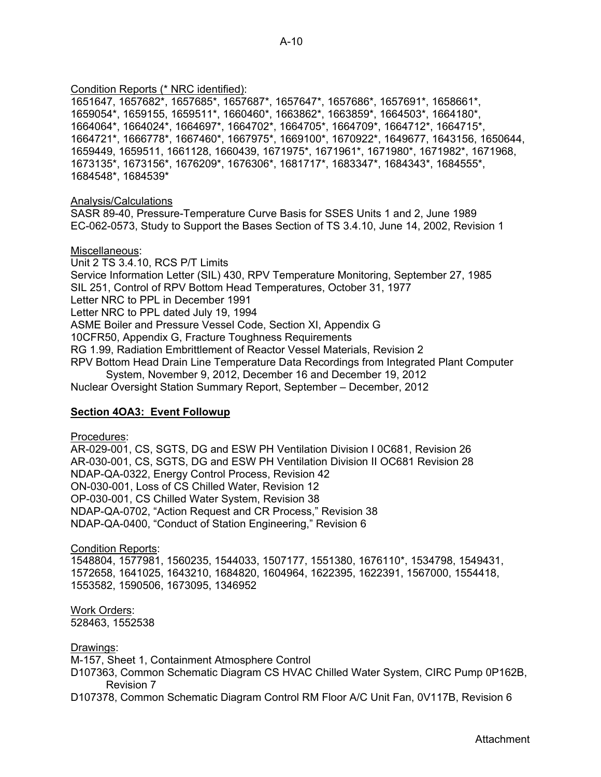# Condition Reports (\* NRC identified):

1651647, 1657682\*, 1657685\*, 1657687\*, 1657647\*, 1657686\*, 1657691\*, 1658661\*, 1659054\*, 1659155, 1659511\*, 1660460\*, 1663862\*, 1663859\*, 1664503\*, 1664180\*, 1664064\*, 1664024\*, 1664697\*, 1664702\*, 1664705\*, 1664709\*, 1664712\*, 1664715\*, 1664721\*, 1666778\*, 1667460\*, 1667975\*, 1669100\*, 1670922\*, 1649677, 1643156, 1650644, 1659449, 1659511, 1661128, 1660439, 1671975\*, 1671961\*, 1671980\*, 1671982\*, 1671968, 1673135\*, 1673156\*, 1676209\*, 1676306\*, 1681717\*, 1683347\*, 1684343\*, 1684555\*, 1684548\*, 1684539\*

Analysis/Calculations

SASR 89-40, Pressure-Temperature Curve Basis for SSES Units 1 and 2, June 1989 EC-062-0573, Study to Support the Bases Section of TS 3.4.10, June 14, 2002, Revision 1

# Miscellaneous:

Unit 2 TS 3.4.10, RCS P/T Limits Service Information Letter (SIL) 430, RPV Temperature Monitoring, September 27, 1985 SIL 251, Control of RPV Bottom Head Temperatures, October 31, 1977 Letter NRC to PPL in December 1991 Letter NRC to PPL dated July 19, 1994 ASME Boiler and Pressure Vessel Code, Section XI, Appendix G 10CFR50, Appendix G, Fracture Toughness Requirements RG 1.99, Radiation Embrittlement of Reactor Vessel Materials, Revision 2 RPV Bottom Head Drain Line Temperature Data Recordings from Integrated Plant Computer System, November 9, 2012, December 16 and December 19, 2012 Nuclear Oversight Station Summary Report, September – December, 2012

# **Section 4OA3: Event Followup**

Procedures:

AR-029-001, CS, SGTS, DG and ESW PH Ventilation Division I 0C681, Revision 26 AR-030-001, CS, SGTS, DG and ESW PH Ventilation Division II OC681 Revision 28 NDAP-QA-0322, Energy Control Process, Revision 42 ON-030-001, Loss of CS Chilled Water, Revision 12 OP-030-001, CS Chilled Water System, Revision 38 NDAP-QA-0702, "Action Request and CR Process," Revision 38 NDAP-QA-0400, "Conduct of Station Engineering," Revision 6

Condition Reports:

1548804, 1577981, 1560235, 1544033, 1507177, 1551380, 1676110\*, 1534798, 1549431, 1572658, 1641025, 1643210, 1684820, 1604964, 1622395, 1622391, 1567000, 1554418, 1553582, 1590506, 1673095, 1346952

Work Orders: 528463, 1552538

Drawings:

M-157, Sheet 1, Containment Atmosphere Control

D107363, Common Schematic Diagram CS HVAC Chilled Water System, CIRC Pump 0P162B, Revision 7

D107378, Common Schematic Diagram Control RM Floor A/C Unit Fan, 0V117B, Revision 6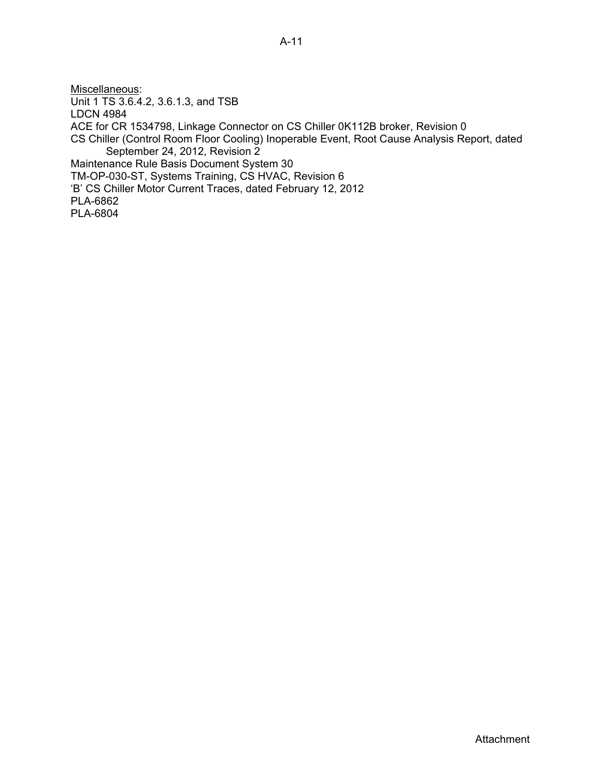Miscellaneous: Unit 1 TS 3.6.4.2, 3.6.1.3, and TSB LDCN 4984 ACE for CR 1534798, Linkage Connector on CS Chiller 0K112B broker, Revision 0 CS Chiller (Control Room Floor Cooling) Inoperable Event, Root Cause Analysis Report, dated September 24, 2012, Revision 2 Maintenance Rule Basis Document System 30 TM-OP-030-ST, Systems Training, CS HVAC, Revision 6 'B' CS Chiller Motor Current Traces, dated February 12, 2012 PLA-6862 PLA-6804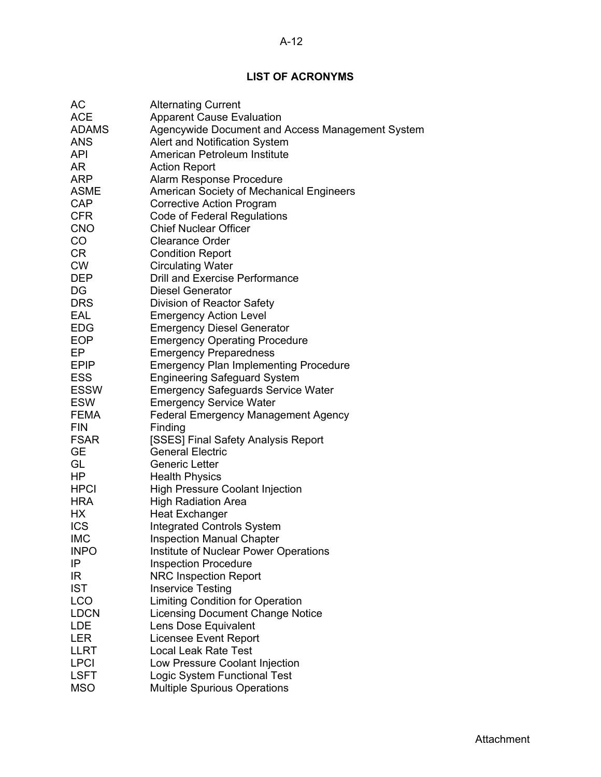# **LIST OF ACRONYMS**

| АC               | <b>Alternating Current</b>                       |
|------------------|--------------------------------------------------|
| <b>ACE</b>       | <b>Apparent Cause Evaluation</b>                 |
| ADAMS            | Agencywide Document and Access Management System |
| <b>ANS</b>       | Alert and Notification System                    |
| API              | American Petroleum Institute                     |
| AR               | <b>Action Report</b>                             |
| <b>ARP</b>       | Alarm Response Procedure                         |
| ASME             | American Society of Mechanical Engineers         |
| <b>CAP</b>       | <b>Corrective Action Program</b>                 |
| <b>CFR</b>       | <b>Code of Federal Regulations</b>               |
| <b>CNO</b>       | <b>Chief Nuclear Officer</b>                     |
| CO               | <b>Clearance Order</b>                           |
| CR               | <b>Condition Report</b>                          |
| <b>CW</b>        | <b>Circulating Water</b>                         |
| DEP              | Drill and Exercise Performance                   |
| DG               | <b>Diesel Generator</b>                          |
| <b>DRS</b>       | Division of Reactor Safety                       |
| EAL              | <b>Emergency Action Level</b>                    |
| EDG              | <b>Emergency Diesel Generator</b>                |
|                  | <b>Emergency Operating Procedure</b>             |
| <b>EOP</b><br>EP |                                                  |
|                  | <b>Emergency Preparedness</b>                    |
| <b>EPIP</b>      | <b>Emergency Plan Implementing Procedure</b>     |
| <b>ESS</b>       | <b>Engineering Safeguard System</b>              |
| ESSW             | <b>Emergency Safeguards Service Water</b>        |
| <b>ESW</b>       | <b>Emergency Service Water</b>                   |
| FEMA             | <b>Federal Emergency Management Agency</b>       |
| <b>FIN</b>       | Finding                                          |
| <b>FSAR</b>      | [SSES] Final Safety Analysis Report              |
| <b>GE</b>        | <b>General Electric</b>                          |
| GL               | <b>Generic Letter</b>                            |
| HP               | <b>Health Physics</b>                            |
| <b>HPCI</b>      | <b>High Pressure Coolant Injection</b>           |
| <b>HRA</b>       | <b>High Radiation Area</b>                       |
| НX               | <b>Heat Exchanger</b>                            |
| <b>ICS</b>       | <b>Integrated Controls System</b>                |
| <b>IMC</b>       | <b>Inspection Manual Chapter</b>                 |
| <b>INPO</b>      | Institute of Nuclear Power Operations            |
| IP               | <b>Inspection Procedure</b>                      |
| IR               | <b>NRC Inspection Report</b>                     |
| <b>IST</b>       | <b>Inservice Testing</b>                         |
| LCO              | <b>Limiting Condition for Operation</b>          |
| LDCN             | <b>Licensing Document Change Notice</b>          |
| LDE              | Lens Dose Equivalent                             |
| LER              | <b>Licensee Event Report</b>                     |
| LLRT             | <b>Local Leak Rate Test</b>                      |
| <b>LPCI</b>      | Low Pressure Coolant Injection                   |
| <b>LSFT</b>      | Logic System Functional Test                     |
| <b>MSO</b>       | <b>Multiple Spurious Operations</b>              |
|                  |                                                  |